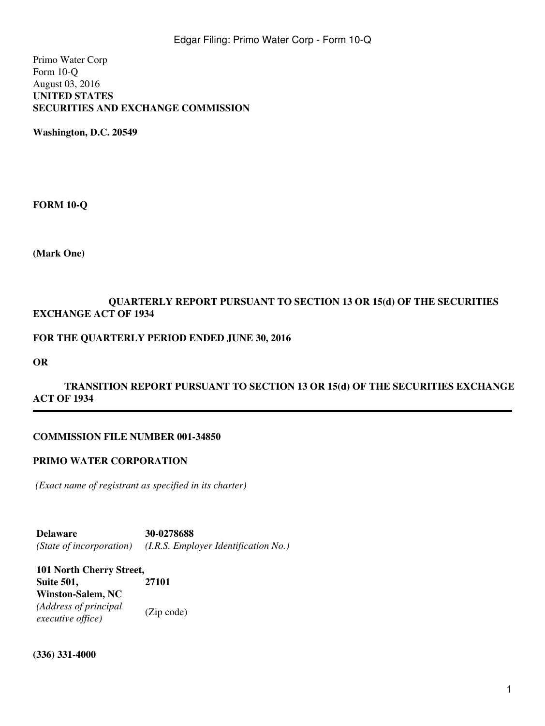Primo Water Corp Form 10-Q August 03, 2016 **UNITED STATES SECURITIES AND EXCHANGE COMMISSION**

**Washington, D.C. 20549**

**FORM 10-Q**

**(Mark One)**

# **QUARTERLY REPORT PURSUANT TO SECTION 13 OR 15(d) OF THE SECURITIES EXCHANGE ACT OF 1934**

### **FOR THE QUARTERLY PERIOD ENDED JUNE 30, 2016**

**OR**

# TRANSITION REPORT PURSUANT TO SECTION 13 OR 15(d) OF THE SECURITIES EXCHANGE **ACT OF 1934**

### **COMMISSION FILE NUMBER 001-34850**

### **PRIMO WATER CORPORATION**

*(Exact name of registrant as specified in its charter)*

**Delaware 30-0278688** *(State of incorporation) (I.R.S. Employer Identification No.)*

**101 North Cherry Street, Suite 501, Winston-Salem, NC 27101** *(Address of principal executive office)* (Zip code)

**(336) 331-4000**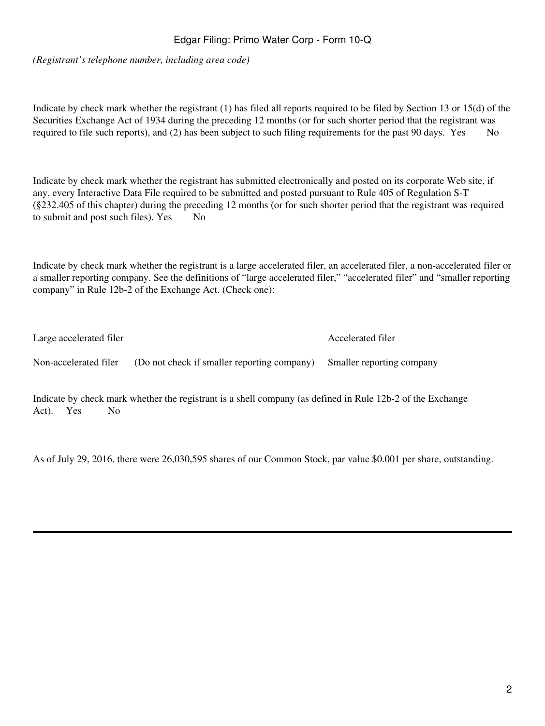# Edgar Filing: Primo Water Corp - Form 10-Q

*(Registrant's telephone number, including area code)*

Indicate by check mark whether the registrant (1) has filed all reports required to be filed by Section 13 or 15(d) of the Securities Exchange Act of 1934 during the preceding 12 months (or for such shorter period that the registrant was required to file such reports), and (2) has been subject to such filing requirements for the past 90 days. Yes No

Indicate by check mark whether the registrant has submitted electronically and posted on its corporate Web site, if any, every Interactive Data File required to be submitted and posted pursuant to Rule 405 of Regulation S-T (§232.405 of this chapter) during the preceding 12 months (or for such shorter period that the registrant was required to submit and post such files). Yes No

Indicate by check mark whether the registrant is a large accelerated filer, an accelerated filer, a non-accelerated filer or a smaller reporting company. See the definitions of "large accelerated filer," "accelerated filer" and "smaller reporting company" in Rule 12b-2 of the Exchange Act. (Check one):

| Large accelerated filer |                                             | Accelerated filer         |  |  |
|-------------------------|---------------------------------------------|---------------------------|--|--|
| Non-accelerated filer   | (Do not check if smaller reporting company) | Smaller reporting company |  |  |

Indicate by check mark whether the registrant is a shell company (as defined in Rule 12b-2 of the Exchange Act). Yes No

As of July 29, 2016, there were 26,030,595 shares of our Common Stock, par value \$0.001 per share, outstanding.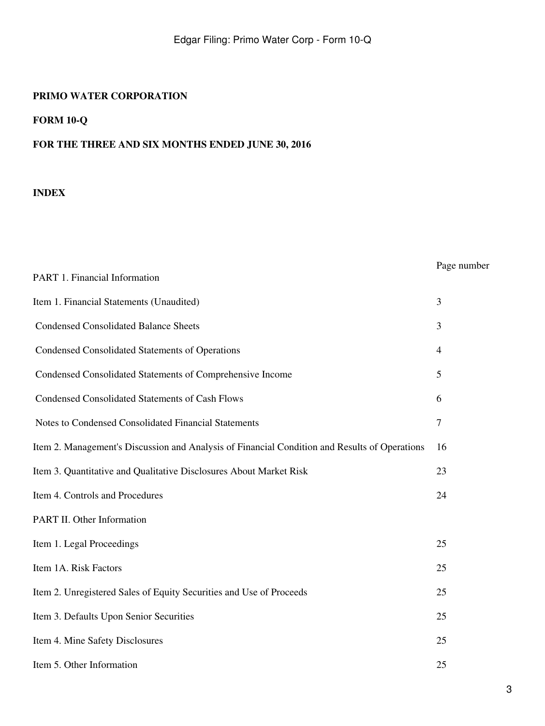PART 1. Financial Information

# **FORM 10-Q**

# **FOR THE THREE AND SIX MONTHS ENDED JUNE 30, 2016**

# **INDEX**

# Page number

| Item 1. Financial Statements (Unaudited)                                                      | 3      |
|-----------------------------------------------------------------------------------------------|--------|
| <b>Condensed Consolidated Balance Sheets</b>                                                  | 3      |
| <b>Condensed Consolidated Statements of Operations</b>                                        | 4      |
| Condensed Consolidated Statements of Comprehensive Income                                     | 5      |
| <b>Condensed Consolidated Statements of Cash Flows</b>                                        | 6      |
| Notes to Condensed Consolidated Financial Statements                                          | $\tau$ |
| Item 2. Management's Discussion and Analysis of Financial Condition and Results of Operations | 16     |
| Item 3. Quantitative and Qualitative Disclosures About Market Risk                            | 23     |
| Item 4. Controls and Procedures                                                               | 24     |
| PART II. Other Information                                                                    |        |
| Item 1. Legal Proceedings                                                                     | 25     |
| Item 1A. Risk Factors                                                                         | 25     |
| Item 2. Unregistered Sales of Equity Securities and Use of Proceeds                           | 25     |
| Item 3. Defaults Upon Senior Securities                                                       | 25     |
| Item 4. Mine Safety Disclosures                                                               | 25     |
| Item 5. Other Information                                                                     | 25     |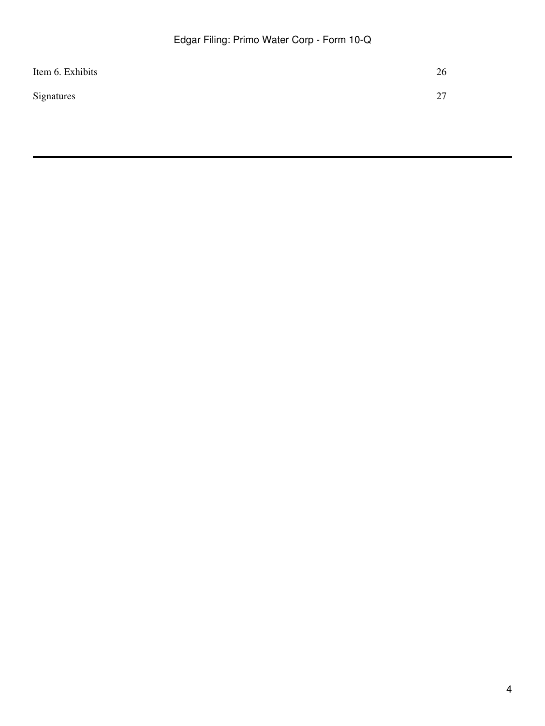| Item 6. Exhibits | 26        |
|------------------|-----------|
| Signatures       | າາ<br>∸ ' |
|                  |           |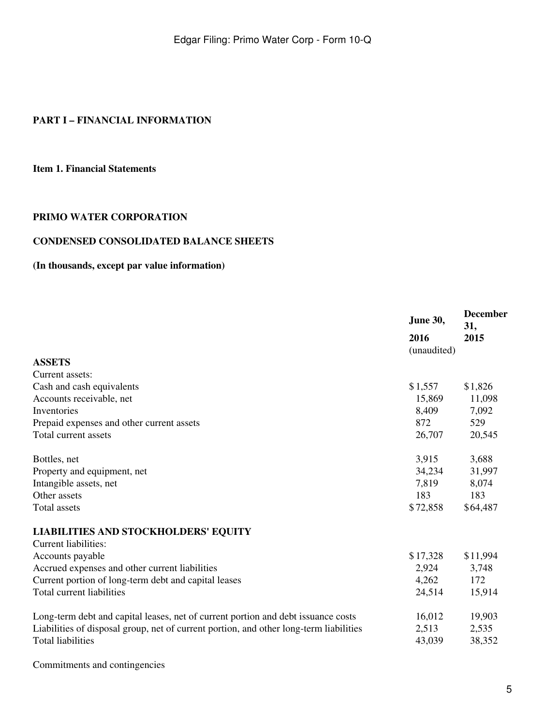# **PART I – FINANCIAL INFORMATION**

### **Item 1. Financial Statements**

### **PRIMO WATER CORPORATION**

### **CONDENSED CONSOLIDATED BALANCE SHEETS**

# **(In thousands, except par value information)**

|                                                                                        | June 30,    | <b>December</b><br>31, |
|----------------------------------------------------------------------------------------|-------------|------------------------|
|                                                                                        | 2016        | 2015                   |
|                                                                                        | (unaudited) |                        |
| <b>ASSETS</b>                                                                          |             |                        |
| Current assets:                                                                        |             |                        |
| Cash and cash equivalents                                                              | \$1,557     | \$1,826                |
| Accounts receivable, net                                                               | 15,869      | 11,098                 |
| Inventories                                                                            | 8,409       | 7,092                  |
| Prepaid expenses and other current assets                                              | 872         | 529                    |
| Total current assets                                                                   | 26,707      | 20,545                 |
| Bottles, net                                                                           | 3,915       | 3,688                  |
| Property and equipment, net                                                            | 34,234      | 31,997                 |
| Intangible assets, net                                                                 | 7,819       | 8,074                  |
| Other assets                                                                           | 183         | 183                    |
| <b>Total assets</b>                                                                    | \$72,858    | \$64,487               |
| <b>LIABILITIES AND STOCKHOLDERS' EQUITY</b>                                            |             |                        |
| <b>Current liabilities:</b>                                                            |             |                        |
| Accounts payable                                                                       | \$17,328    | \$11,994               |
| Accrued expenses and other current liabilities                                         | 2,924       | 3,748                  |
| Current portion of long-term debt and capital leases                                   | 4,262       | 172                    |
| Total current liabilities                                                              | 24,514      | 15,914                 |
| Long-term debt and capital leases, net of current portion and debt issuance costs      | 16,012      | 19,903                 |
| Liabilities of disposal group, net of current portion, and other long-term liabilities | 2,513       | 2,535                  |
| <b>Total liabilities</b>                                                               | 43,039      | 38,352                 |

Commitments and contingencies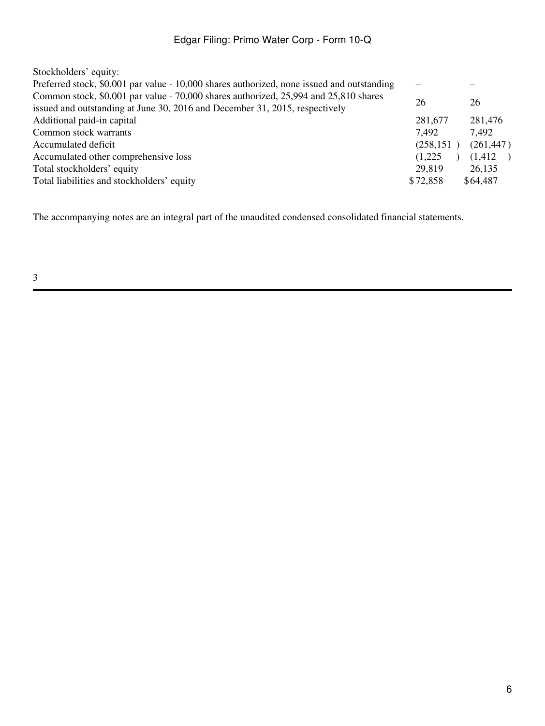| Stockholders' equity:                                                                                                                                               |            |                          |
|---------------------------------------------------------------------------------------------------------------------------------------------------------------------|------------|--------------------------|
| Preferred stock, \$0.001 par value - 10,000 shares authorized, none issued and outstanding                                                                          |            |                          |
| Common stock, \$0.001 par value - 70,000 shares authorized, 25,994 and 25,810 shares<br>issued and outstanding at June 30, 2016 and December 31, 2015, respectively | 26         | 26                       |
| Additional paid-in capital                                                                                                                                          | 281,677    | 281,476                  |
| Common stock warrants                                                                                                                                               | 7.492      | 7,492                    |
| Accumulated deficit                                                                                                                                                 | (258, 151) | (261, 447)               |
| Accumulated other comprehensive loss                                                                                                                                | (1,225)    | (1,412)<br>$\rightarrow$ |
| Total stockholders' equity                                                                                                                                          | 29,819     | 26,135                   |
| Total liabilities and stockholders' equity                                                                                                                          | \$72,858   | \$64,487                 |
|                                                                                                                                                                     |            |                          |

The accompanying notes are an integral part of the unaudited condensed consolidated financial statements.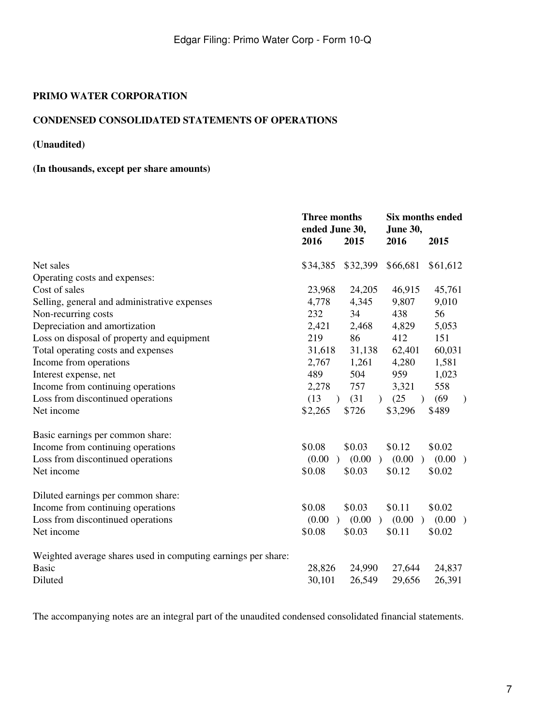# **CONDENSED CONSOLIDATED STATEMENTS OF OPERATIONS**

# **(Unaudited)**

# **(In thousands, except per share amounts)**

|                                                               | <b>Three months</b><br>ended June 30, |                         | Six months ended<br><b>June 30,</b> |                       |
|---------------------------------------------------------------|---------------------------------------|-------------------------|-------------------------------------|-----------------------|
|                                                               | 2016                                  | 2015                    | 2016                                | 2015                  |
| Net sales                                                     | \$34,385                              | \$32,399                | \$66,681                            | \$61,612              |
| Operating costs and expenses:                                 |                                       |                         |                                     |                       |
| Cost of sales                                                 | 23,968                                | 24,205                  | 46,915                              | 45,761                |
| Selling, general and administrative expenses                  | 4,778                                 | 4,345                   | 9,807                               | 9,010                 |
| Non-recurring costs                                           | 232                                   | 34                      | 438                                 | 56                    |
| Depreciation and amortization                                 | 2,421                                 | 2,468                   | 4,829                               | 5,053                 |
| Loss on disposal of property and equipment                    | 219                                   | 86                      | 412                                 | 151                   |
| Total operating costs and expenses                            | 31,618                                | 31,138                  | 62,401                              | 60,031                |
| Income from operations                                        | 2,767                                 | 1,261                   | 4,280                               | 1,581                 |
| Interest expense, net                                         | 489                                   | 504                     | 959                                 | 1,023                 |
| Income from continuing operations                             | 2,278                                 | 757                     | 3,321                               | 558                   |
| Loss from discontinued operations                             | (13)<br>$\lambda$                     | (31)                    | (25)<br>$\lambda$                   | (69)<br>$\mathcal{L}$ |
| Net income                                                    | \$2,265                               | \$726                   | \$3,296                             | \$489                 |
| Basic earnings per common share:                              |                                       |                         |                                     |                       |
| Income from continuing operations                             | \$0.08                                | \$0.03                  | \$0.12                              | \$0.02                |
| Loss from discontinued operations                             | (0.00)<br>$\lambda$                   | (0.00)<br>$\lambda$     | (0.00)<br>$\lambda$                 | (0.00)                |
| Net income                                                    | \$0.08                                | \$0.03                  | \$0.12                              | \$0.02                |
| Diluted earnings per common share:                            |                                       |                         |                                     |                       |
| Income from continuing operations                             | \$0.08                                | \$0.03                  | \$0.11                              | \$0.02                |
| Loss from discontinued operations                             | (0.00)<br>$\lambda$                   | (0.00)<br>$\rightarrow$ | (0.00)<br>$\rightarrow$             | (0.00)                |
| Net income                                                    | \$0.08                                | \$0.03                  | \$0.11                              | \$0.02                |
| Weighted average shares used in computing earnings per share: |                                       |                         |                                     |                       |
| <b>Basic</b>                                                  | 28,826                                | 24,990                  | 27,644                              | 24,837                |
| Diluted                                                       | 30,101                                | 26,549                  | 29,656                              | 26,391                |
|                                                               |                                       |                         |                                     |                       |

The accompanying notes are an integral part of the unaudited condensed consolidated financial statements.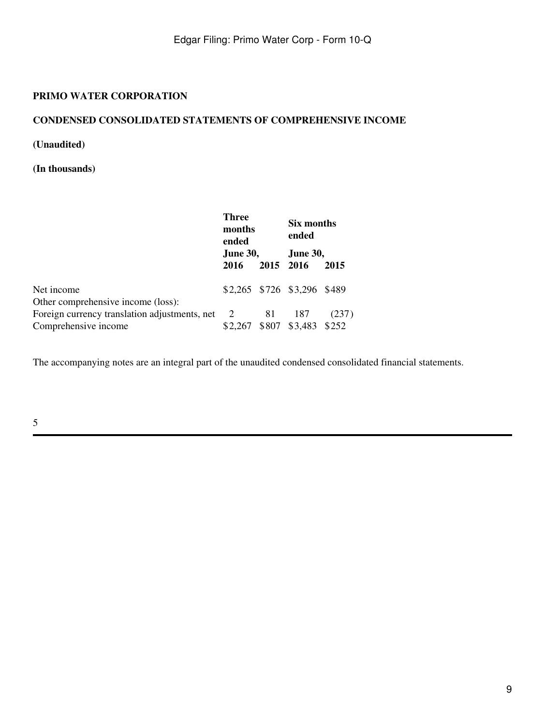### **CONDENSED CONSOLIDATED STATEMENTS OF COMPREHENSIVE INCOME**

**(Unaudited)**

**(In thousands)**

|                                               | <b>Three</b><br>months<br>ended<br><b>June 30,</b> |           | Six months<br>ended<br><b>June 30,</b> |       |
|-----------------------------------------------|----------------------------------------------------|-----------|----------------------------------------|-------|
|                                               | 2016                                               | 2015 2016 |                                        | 2015  |
| Net income                                    |                                                    |           | \$2,265 \$726 \$3,296 \$489            |       |
| Other comprehensive income (loss):            |                                                    |           |                                        |       |
| Foreign currency translation adjustments, net | $\overline{2}$                                     | 81        | 187                                    | (237) |
| Comprehensive income                          |                                                    |           | \$2,267 \$807 \$3,483 \$252            |       |

The accompanying notes are an integral part of the unaudited condensed consolidated financial statements.

5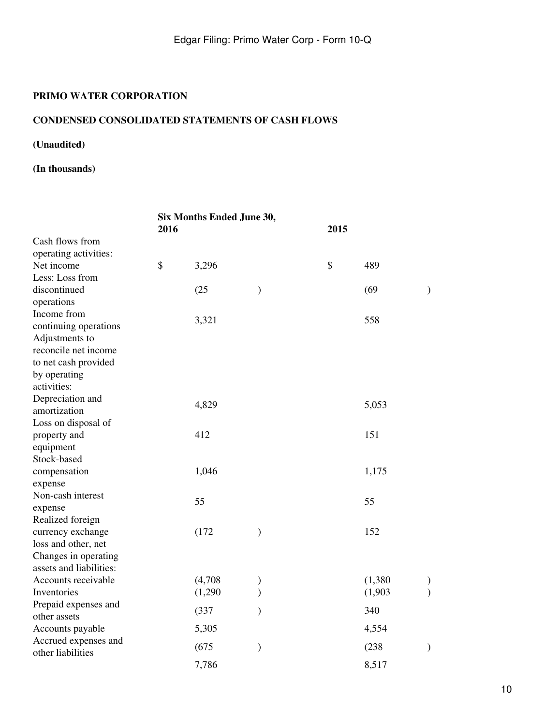# **CONDENSED CONSOLIDATED STATEMENTS OF CASH FLOWS**

# **(Unaudited)**

# **(In thousands)**

|                                                 | Six Months Ended June 30,<br>2016 |         |               | 2015      |               |  |
|-------------------------------------------------|-----------------------------------|---------|---------------|-----------|---------------|--|
| Cash flows from                                 |                                   |         |               |           |               |  |
| operating activities:                           |                                   |         |               |           |               |  |
| Net income                                      | \$                                | 3,296   |               | \$<br>489 |               |  |
| Less: Loss from                                 |                                   |         |               |           |               |  |
| discontinued                                    |                                   | (25)    | $\mathcal{)}$ | (69)      | $\mathcal{E}$ |  |
| operations                                      |                                   |         |               |           |               |  |
| Income from                                     |                                   | 3,321   |               | 558       |               |  |
| continuing operations                           |                                   |         |               |           |               |  |
| Adjustments to                                  |                                   |         |               |           |               |  |
| reconcile net income                            |                                   |         |               |           |               |  |
| to net cash provided                            |                                   |         |               |           |               |  |
| by operating                                    |                                   |         |               |           |               |  |
| activities:                                     |                                   |         |               |           |               |  |
| Depreciation and                                |                                   | 4,829   |               | 5,053     |               |  |
| amortization                                    |                                   |         |               |           |               |  |
| Loss on disposal of                             |                                   |         |               |           |               |  |
| property and                                    |                                   | 412     |               | 151       |               |  |
| equipment                                       |                                   |         |               |           |               |  |
| Stock-based                                     |                                   |         |               |           |               |  |
| compensation                                    |                                   | 1,046   |               | 1,175     |               |  |
| expense                                         |                                   |         |               |           |               |  |
| Non-cash interest                               |                                   | 55      |               | 55        |               |  |
| expense                                         |                                   |         |               |           |               |  |
| Realized foreign                                |                                   |         |               |           |               |  |
| currency exchange                               |                                   | (172)   | $\mathcal{E}$ | 152       |               |  |
| loss and other, net                             |                                   |         |               |           |               |  |
| Changes in operating<br>assets and liabilities: |                                   |         |               |           |               |  |
| Accounts receivable                             |                                   | (4,708) |               | (1,380)   |               |  |
| Inventories                                     |                                   | (1,290) | $\mathcal{E}$ | (1,903)   | $\mathcal{L}$ |  |
| Prepaid expenses and                            |                                   |         |               |           |               |  |
| other assets                                    |                                   | (337)   | $\mathcal{E}$ | 340       |               |  |
| Accounts payable                                |                                   | 5,305   |               | 4,554     |               |  |
| Accrued expenses and                            |                                   | (675)   | $\mathcal{E}$ | (238)     | $\mathcal{E}$ |  |
| other liabilities                               |                                   |         |               |           |               |  |
|                                                 |                                   | 7,786   |               | 8,517     |               |  |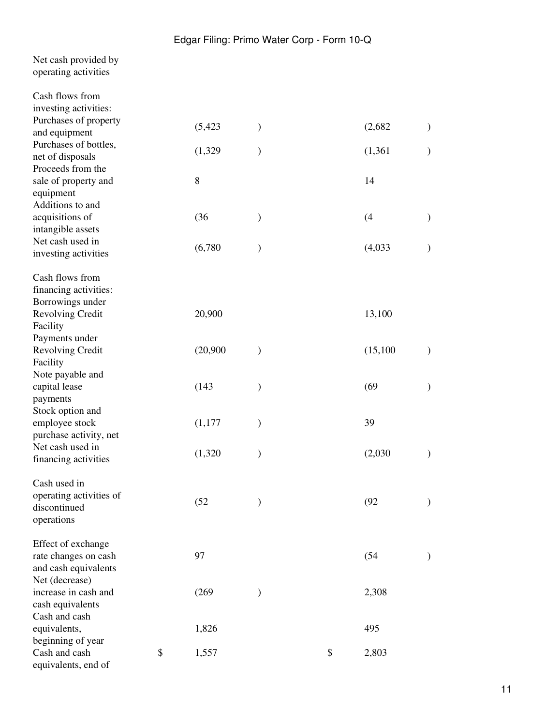| Net cash provided by |
|----------------------|
| operating activities |

| Cash flows from         |             |               |             |               |
|-------------------------|-------------|---------------|-------------|---------------|
| investing activities:   |             |               |             |               |
| Purchases of property   | (5, 423)    | )             | (2,682)     | $\mathcal{)}$ |
| and equipment           |             |               |             |               |
| Purchases of bottles,   | (1,329)     | $\mathcal{E}$ | (1, 361)    | $\mathcal{E}$ |
| net of disposals        |             |               |             |               |
| Proceeds from the       |             |               |             |               |
| sale of property and    | 8           |               | 14          |               |
| equipment               |             |               |             |               |
| Additions to and        |             |               |             |               |
| acquisitions of         | (36)        | $\mathcal{E}$ | (4)         | $\mathcal{E}$ |
| intangible assets       |             |               |             |               |
| Net cash used in        | (6,780)     |               | (4,033)     | $\mathcal{E}$ |
| investing activities    |             |               |             |               |
| Cash flows from         |             |               |             |               |
| financing activities:   |             |               |             |               |
| Borrowings under        |             |               |             |               |
| Revolving Credit        | 20,900      |               | 13,100      |               |
| Facility                |             |               |             |               |
| Payments under          |             |               |             |               |
| Revolving Credit        | (20,900)    | $\mathcal{E}$ | (15,100)    | $\mathcal{Y}$ |
| Facility                |             |               |             |               |
| Note payable and        |             |               |             |               |
| capital lease           | (143)       | $\mathcal{E}$ | (69)        | $\mathcal{)}$ |
| payments                |             |               |             |               |
| Stock option and        |             |               |             |               |
| employee stock          | (1,177)     | $\mathcal{E}$ | 39          |               |
| purchase activity, net  |             |               |             |               |
| Net cash used in        |             |               |             |               |
| financing activities    | (1,320)     | $\mathcal{E}$ | (2,030)     | $\mathcal{)}$ |
| Cash used in            |             |               |             |               |
| operating activities of |             |               |             |               |
| discontinued            | (52)        | $\mathcal{E}$ | (92)        | $\mathcal{E}$ |
| operations              |             |               |             |               |
| Effect of exchange      |             |               |             |               |
| rate changes on cash    | 97          |               | (54)        | $\mathcal{)}$ |
| and cash equivalents    |             |               |             |               |
| Net (decrease)          |             |               |             |               |
| increase in cash and    | (269)       | $\mathcal{E}$ | 2,308       |               |
| cash equivalents        |             |               |             |               |
| Cash and cash           |             |               |             |               |
| equivalents,            | 1,826       |               | 495         |               |
| beginning of year       |             |               |             |               |
| Cash and cash           | \$<br>1,557 |               | \$<br>2,803 |               |
| equivalents, end of     |             |               |             |               |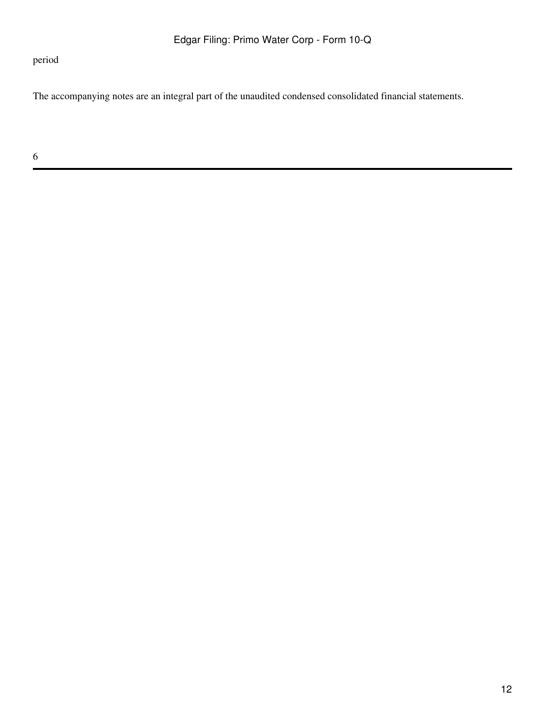period

The accompanying notes are an integral part of the unaudited condensed consolidated financial statements.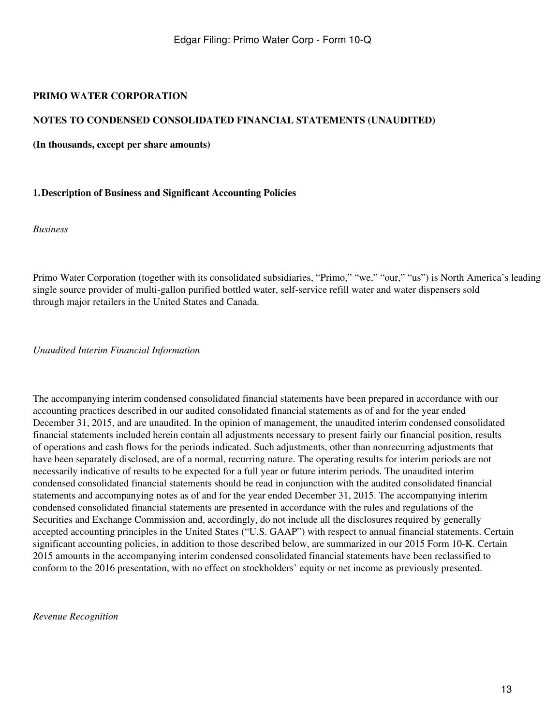### **NOTES TO CONDENSED CONSOLIDATED FINANCIAL STATEMENTS (UNAUDITED)**

**(In thousands, except per share amounts)**

#### **1.Description of Business and Significant Accounting Policies**

*Business*

Primo Water Corporation (together with its consolidated subsidiaries, "Primo," "we," "our," "us") is North America's leading single source provider of multi-gallon purified bottled water, self-service refill water and water dispensers sold through major retailers in the United States and Canada.

*Unaudited Interim Financial Information*

The accompanying interim condensed consolidated financial statements have been prepared in accordance with our accounting practices described in our audited consolidated financial statements as of and for the year ended December 31, 2015, and are unaudited. In the opinion of management, the unaudited interim condensed consolidated financial statements included herein contain all adjustments necessary to present fairly our financial position, results of operations and cash flows for the periods indicated. Such adjustments, other than nonrecurring adjustments that have been separately disclosed, are of a normal, recurring nature. The operating results for interim periods are not necessarily indicative of results to be expected for a full year or future interim periods. The unaudited interim condensed consolidated financial statements should be read in conjunction with the audited consolidated financial statements and accompanying notes as of and for the year ended December 31, 2015. The accompanying interim condensed consolidated financial statements are presented in accordance with the rules and regulations of the Securities and Exchange Commission and, accordingly, do not include all the disclosures required by generally accepted accounting principles in the United States ("U.S. GAAP") with respect to annual financial statements. Certain significant accounting policies, in addition to those described below, are summarized in our 2015 Form 10-K. Certain 2015 amounts in the accompanying interim condensed consolidated financial statements have been reclassified to conform to the 2016 presentation, with no effect on stockholders' equity or net income as previously presented.

*Revenue Recognition*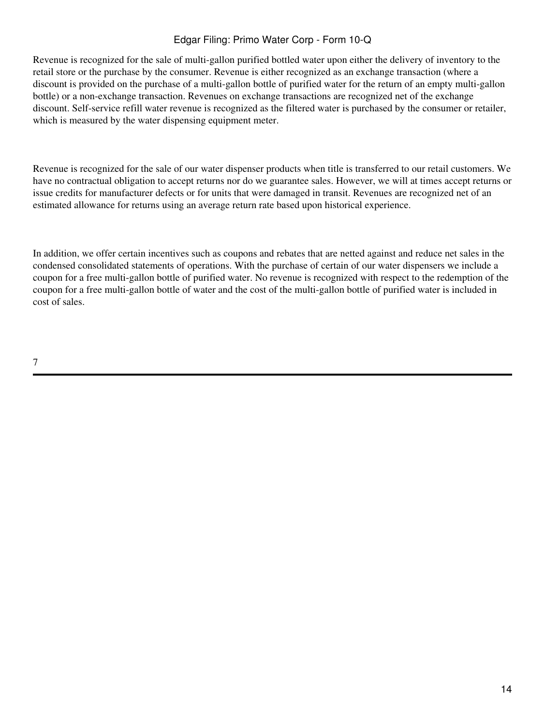# Edgar Filing: Primo Water Corp - Form 10-Q

Revenue is recognized for the sale of multi-gallon purified bottled water upon either the delivery of inventory to the retail store or the purchase by the consumer. Revenue is either recognized as an exchange transaction (where a discount is provided on the purchase of a multi-gallon bottle of purified water for the return of an empty multi-gallon bottle) or a non-exchange transaction. Revenues on exchange transactions are recognized net of the exchange discount. Self-service refill water revenue is recognized as the filtered water is purchased by the consumer or retailer, which is measured by the water dispensing equipment meter.

Revenue is recognized for the sale of our water dispenser products when title is transferred to our retail customers. We have no contractual obligation to accept returns nor do we guarantee sales. However, we will at times accept returns or issue credits for manufacturer defects or for units that were damaged in transit. Revenues are recognized net of an estimated allowance for returns using an average return rate based upon historical experience.

In addition, we offer certain incentives such as coupons and rebates that are netted against and reduce net sales in the condensed consolidated statements of operations. With the purchase of certain of our water dispensers we include a coupon for a free multi-gallon bottle of purified water. No revenue is recognized with respect to the redemption of the coupon for a free multi-gallon bottle of water and the cost of the multi-gallon bottle of purified water is included in cost of sales.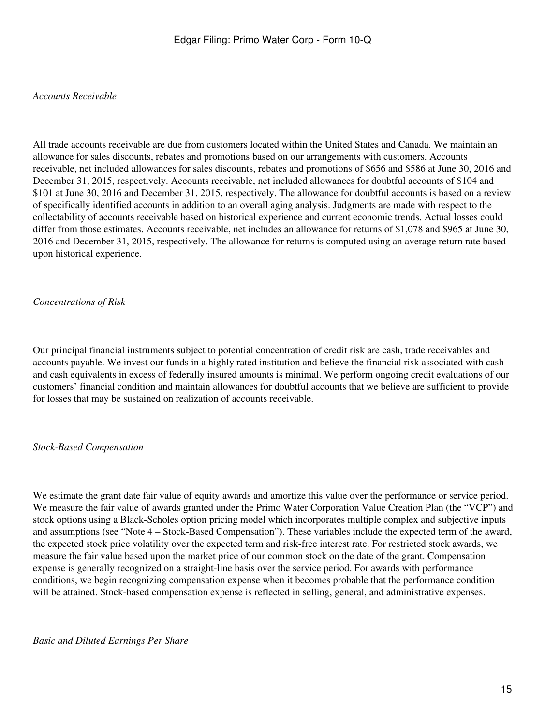#### *Accounts Receivable*

All trade accounts receivable are due from customers located within the United States and Canada. We maintain an allowance for sales discounts, rebates and promotions based on our arrangements with customers. Accounts receivable, net included allowances for sales discounts, rebates and promotions of \$656 and \$586 at June 30, 2016 and December 31, 2015, respectively. Accounts receivable, net included allowances for doubtful accounts of \$104 and \$101 at June 30, 2016 and December 31, 2015, respectively. The allowance for doubtful accounts is based on a review of specifically identified accounts in addition to an overall aging analysis. Judgments are made with respect to the collectability of accounts receivable based on historical experience and current economic trends. Actual losses could differ from those estimates. Accounts receivable, net includes an allowance for returns of \$1,078 and \$965 at June 30, 2016 and December 31, 2015, respectively. The allowance for returns is computed using an average return rate based upon historical experience.

#### *Concentrations of Risk*

Our principal financial instruments subject to potential concentration of credit risk are cash, trade receivables and accounts payable. We invest our funds in a highly rated institution and believe the financial risk associated with cash and cash equivalents in excess of federally insured amounts is minimal. We perform ongoing credit evaluations of our customers' financial condition and maintain allowances for doubtful accounts that we believe are sufficient to provide for losses that may be sustained on realization of accounts receivable.

#### *Stock-Based Compensation*

We estimate the grant date fair value of equity awards and amortize this value over the performance or service period. We measure the fair value of awards granted under the Primo Water Corporation Value Creation Plan (the "VCP") and stock options using a Black-Scholes option pricing model which incorporates multiple complex and subjective inputs and assumptions (see "Note 4 – Stock-Based Compensation"). These variables include the expected term of the award, the expected stock price volatility over the expected term and risk-free interest rate. For restricted stock awards, we measure the fair value based upon the market price of our common stock on the date of the grant. Compensation expense is generally recognized on a straight-line basis over the service period. For awards with performance conditions, we begin recognizing compensation expense when it becomes probable that the performance condition will be attained. Stock-based compensation expense is reflected in selling, general, and administrative expenses.

*Basic and Diluted Earnings Per Share*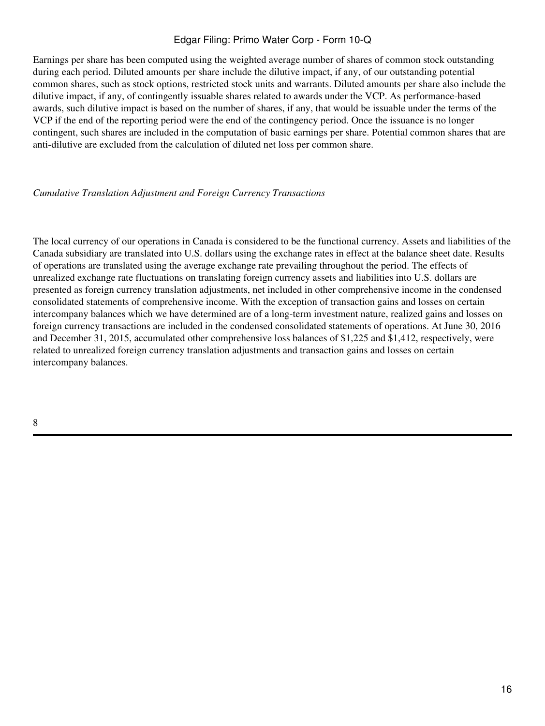# Edgar Filing: Primo Water Corp - Form 10-Q

Earnings per share has been computed using the weighted average number of shares of common stock outstanding during each period. Diluted amounts per share include the dilutive impact, if any, of our outstanding potential common shares, such as stock options, restricted stock units and warrants. Diluted amounts per share also include the dilutive impact, if any, of contingently issuable shares related to awards under the VCP. As performance-based awards, such dilutive impact is based on the number of shares, if any, that would be issuable under the terms of the VCP if the end of the reporting period were the end of the contingency period. Once the issuance is no longer contingent, such shares are included in the computation of basic earnings per share. Potential common shares that are anti-dilutive are excluded from the calculation of diluted net loss per common share.

#### *Cumulative Translation Adjustment and Foreign Currency Transactions*

The local currency of our operations in Canada is considered to be the functional currency. Assets and liabilities of the Canada subsidiary are translated into U.S. dollars using the exchange rates in effect at the balance sheet date. Results of operations are translated using the average exchange rate prevailing throughout the period. The effects of unrealized exchange rate fluctuations on translating foreign currency assets and liabilities into U.S. dollars are presented as foreign currency translation adjustments, net included in other comprehensive income in the condensed consolidated statements of comprehensive income. With the exception of transaction gains and losses on certain intercompany balances which we have determined are of a long-term investment nature, realized gains and losses on foreign currency transactions are included in the condensed consolidated statements of operations. At June 30, 2016 and December 31, 2015, accumulated other comprehensive loss balances of \$1,225 and \$1,412, respectively, were related to unrealized foreign currency translation adjustments and transaction gains and losses on certain intercompany balances.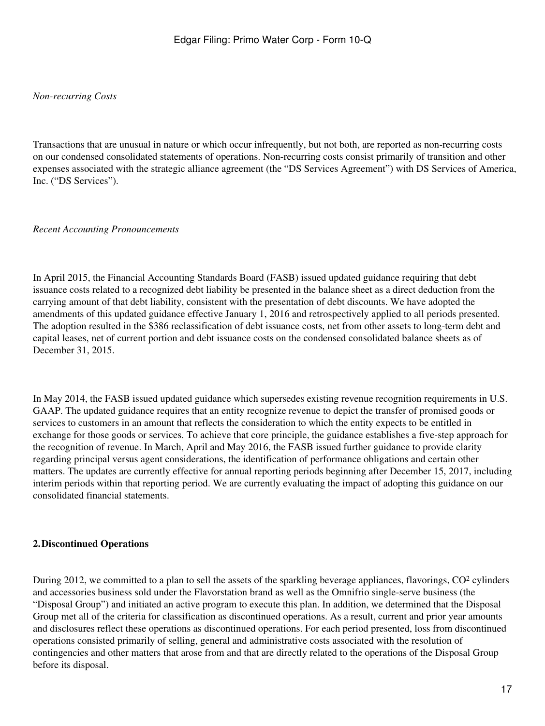#### *Non-recurring Costs*

Transactions that are unusual in nature or which occur infrequently, but not both, are reported as non-recurring costs on our condensed consolidated statements of operations. Non-recurring costs consist primarily of transition and other expenses associated with the strategic alliance agreement (the "DS Services Agreement") with DS Services of America, Inc. ("DS Services").

### *Recent Accounting Pronouncements*

In April 2015, the Financial Accounting Standards Board (FASB) issued updated guidance requiring that debt issuance costs related to a recognized debt liability be presented in the balance sheet as a direct deduction from the carrying amount of that debt liability, consistent with the presentation of debt discounts. We have adopted the amendments of this updated guidance effective January 1, 2016 and retrospectively applied to all periods presented. The adoption resulted in the \$386 reclassification of debt issuance costs, net from other assets to long-term debt and capital leases, net of current portion and debt issuance costs on the condensed consolidated balance sheets as of December 31, 2015.

In May 2014, the FASB issued updated guidance which supersedes existing revenue recognition requirements in U.S. GAAP. The updated guidance requires that an entity recognize revenue to depict the transfer of promised goods or services to customers in an amount that reflects the consideration to which the entity expects to be entitled in exchange for those goods or services. To achieve that core principle, the guidance establishes a five-step approach for the recognition of revenue. In March, April and May 2016, the FASB issued further guidance to provide clarity regarding principal versus agent considerations, the identification of performance obligations and certain other matters. The updates are currently effective for annual reporting periods beginning after December 15, 2017, including interim periods within that reporting period. We are currently evaluating the impact of adopting this guidance on our consolidated financial statements.

### **2.Discontinued Operations**

During 2012, we committed to a plan to sell the assets of the sparkling beverage appliances, flavorings, CO<sup>2</sup> cylinders and accessories business sold under the Flavorstation brand as well as the Omnifrio single-serve business (the "Disposal Group") and initiated an active program to execute this plan. In addition, we determined that the Disposal Group met all of the criteria for classification as discontinued operations. As a result, current and prior year amounts and disclosures reflect these operations as discontinued operations. For each period presented, loss from discontinued operations consisted primarily of selling, general and administrative costs associated with the resolution of contingencies and other matters that arose from and that are directly related to the operations of the Disposal Group before its disposal.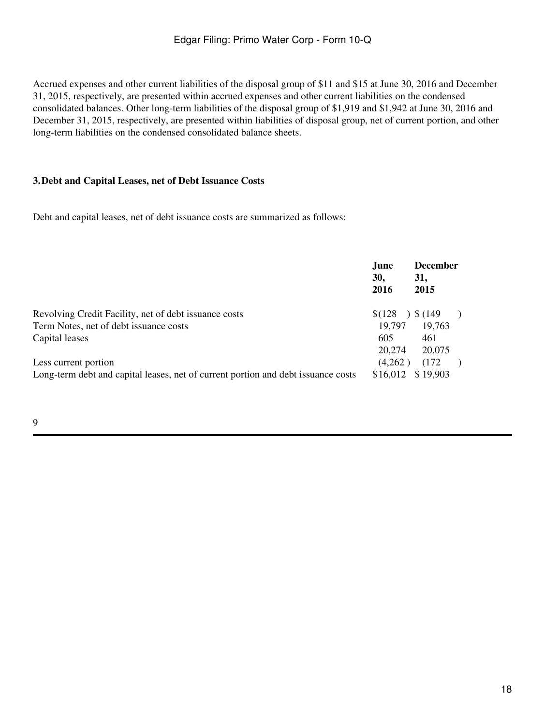Accrued expenses and other current liabilities of the disposal group of \$11 and \$15 at June 30, 2016 and December 31, 2015, respectively, are presented within accrued expenses and other current liabilities on the condensed consolidated balances. Other long-term liabilities of the disposal group of \$1,919 and \$1,942 at June 30, 2016 and December 31, 2015, respectively, are presented within liabilities of disposal group, net of current portion, and other long-term liabilities on the condensed consolidated balance sheets.

### **3.Debt and Capital Leases, net of Debt Issuance Costs**

Debt and capital leases, net of debt issuance costs are summarized as follows:

|                                                                                   | June<br>30,<br>2016 | <b>December</b><br>31,<br>2015 |
|-----------------------------------------------------------------------------------|---------------------|--------------------------------|
| Revolving Credit Facility, net of debt issuance costs                             | \$(128)             | $)$ \$ (149)                   |
| Term Notes, net of debt issuance costs                                            | 19.797              | 19,763                         |
| Capital leases                                                                    | 605<br>20,274       | 461<br>20,075                  |
| Less current portion                                                              | (4,262)             | (172)                          |
| Long-term debt and capital leases, net of current portion and debt issuance costs | \$16,012            | \$19,903                       |

9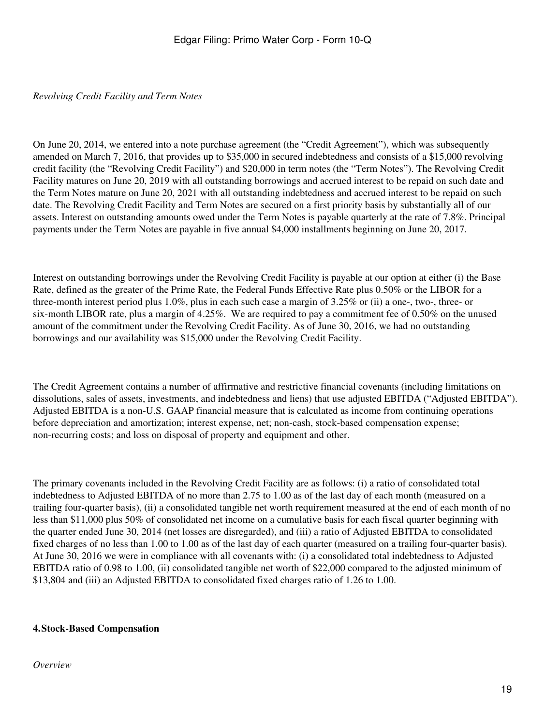### *Revolving Credit Facility and Term Notes*

On June 20, 2014, we entered into a note purchase agreement (the "Credit Agreement"), which was subsequently amended on March 7, 2016, that provides up to \$35,000 in secured indebtedness and consists of a \$15,000 revolving credit facility (the "Revolving Credit Facility") and \$20,000 in term notes (the "Term Notes"). The Revolving Credit Facility matures on June 20, 2019 with all outstanding borrowings and accrued interest to be repaid on such date and the Term Notes mature on June 20, 2021 with all outstanding indebtedness and accrued interest to be repaid on such date. The Revolving Credit Facility and Term Notes are secured on a first priority basis by substantially all of our assets. Interest on outstanding amounts owed under the Term Notes is payable quarterly at the rate of 7.8%. Principal payments under the Term Notes are payable in five annual \$4,000 installments beginning on June 20, 2017.

Interest on outstanding borrowings under the Revolving Credit Facility is payable at our option at either (i) the Base Rate, defined as the greater of the Prime Rate, the Federal Funds Effective Rate plus 0.50% or the LIBOR for a three-month interest period plus 1.0%, plus in each such case a margin of 3.25% or (ii) a one-, two-, three- or six-month LIBOR rate, plus a margin of 4.25%. We are required to pay a commitment fee of 0.50% on the unused amount of the commitment under the Revolving Credit Facility. As of June 30, 2016, we had no outstanding borrowings and our availability was \$15,000 under the Revolving Credit Facility.

The Credit Agreement contains a number of affirmative and restrictive financial covenants (including limitations on dissolutions, sales of assets, investments, and indebtedness and liens) that use adjusted EBITDA ("Adjusted EBITDA"). Adjusted EBITDA is a non-U.S. GAAP financial measure that is calculated as income from continuing operations before depreciation and amortization; interest expense, net; non-cash, stock-based compensation expense; non-recurring costs; and loss on disposal of property and equipment and other.

The primary covenants included in the Revolving Credit Facility are as follows: (i) a ratio of consolidated total indebtedness to Adjusted EBITDA of no more than 2.75 to 1.00 as of the last day of each month (measured on a trailing four-quarter basis), (ii) a consolidated tangible net worth requirement measured at the end of each month of no less than \$11,000 plus 50% of consolidated net income on a cumulative basis for each fiscal quarter beginning with the quarter ended June 30, 2014 (net losses are disregarded), and (iii) a ratio of Adjusted EBITDA to consolidated fixed charges of no less than 1.00 to 1.00 as of the last day of each quarter (measured on a trailing four-quarter basis). At June 30, 2016 we were in compliance with all covenants with: (i) a consolidated total indebtedness to Adjusted EBITDA ratio of 0.98 to 1.00, (ii) consolidated tangible net worth of \$22,000 compared to the adjusted minimum of \$13,804 and (iii) an Adjusted EBITDA to consolidated fixed charges ratio of 1.26 to 1.00.

#### **4.Stock-Based Compensation**

#### *Overview*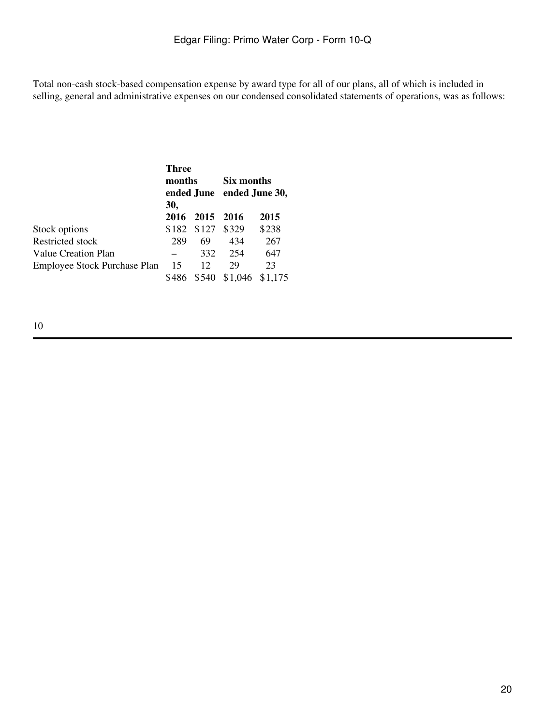Total non-cash stock-based compensation expense by award type for all of our plans, all of which is included in selling, general and administrative expenses on our condensed consolidated statements of operations, was as follows:

|                                     | Three<br>months<br>ended June ended June 30,<br>30, |                |         |               |  | Six months |
|-------------------------------------|-----------------------------------------------------|----------------|---------|---------------|--|------------|
|                                     |                                                     | 2016 2015 2016 |         | 2015          |  |            |
| Stock options                       | \$182                                               | \$127          | \$329   | \$238         |  |            |
| Restricted stock                    | 289                                                 | 69             | 434     | 267           |  |            |
| Value Creation Plan                 |                                                     | 332            | 254     | 647           |  |            |
| <b>Employee Stock Purchase Plan</b> | 15<br>\$486                                         | 12<br>\$540    | 29      | 23<br>\$1,175 |  |            |
|                                     |                                                     |                | \$1,046 |               |  |            |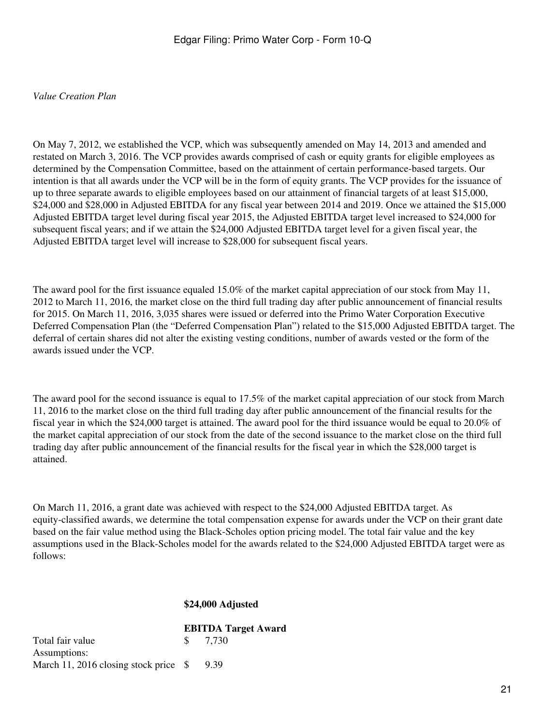#### *Value Creation Plan*

On May 7, 2012, we established the VCP, which was subsequently amended on May 14, 2013 and amended and restated on March 3, 2016. The VCP provides awards comprised of cash or equity grants for eligible employees as determined by the Compensation Committee, based on the attainment of certain performance-based targets. Our intention is that all awards under the VCP will be in the form of equity grants. The VCP provides for the issuance of up to three separate awards to eligible employees based on our attainment of financial targets of at least \$15,000, \$24,000 and \$28,000 in Adjusted EBITDA for any fiscal year between 2014 and 2019. Once we attained the \$15,000 Adjusted EBITDA target level during fiscal year 2015, the Adjusted EBITDA target level increased to \$24,000 for subsequent fiscal years; and if we attain the \$24,000 Adjusted EBITDA target level for a given fiscal year, the Adjusted EBITDA target level will increase to \$28,000 for subsequent fiscal years.

The award pool for the first issuance equaled 15.0% of the market capital appreciation of our stock from May 11, 2012 to March 11, 2016, the market close on the third full trading day after public announcement of financial results for 2015. On March 11, 2016, 3,035 shares were issued or deferred into the Primo Water Corporation Executive Deferred Compensation Plan (the "Deferred Compensation Plan") related to the \$15,000 Adjusted EBITDA target. The deferral of certain shares did not alter the existing vesting conditions, number of awards vested or the form of the awards issued under the VCP.

The award pool for the second issuance is equal to 17.5% of the market capital appreciation of our stock from March 11, 2016 to the market close on the third full trading day after public announcement of the financial results for the fiscal year in which the \$24,000 target is attained. The award pool for the third issuance would be equal to 20.0% of the market capital appreciation of our stock from the date of the second issuance to the market close on the third full trading day after public announcement of the financial results for the fiscal year in which the \$28,000 target is attained.

On March 11, 2016, a grant date was achieved with respect to the \$24,000 Adjusted EBITDA target. As equity-classified awards, we determine the total compensation expense for awards under the VCP on their grant date based on the fair value method using the Black-Scholes option pricing model. The total fair value and the key assumptions used in the Black-Scholes model for the awards related to the \$24,000 Adjusted EBITDA target were as follows:

#### **\$24,000 Adjusted**

|                                          |  | <b>EBITDA Target Award</b> |
|------------------------------------------|--|----------------------------|
| Total fair value                         |  | \$ 7.730                   |
| Assumptions:                             |  |                            |
| March 11, 2016 closing stock price $\$\$ |  | 9.39                       |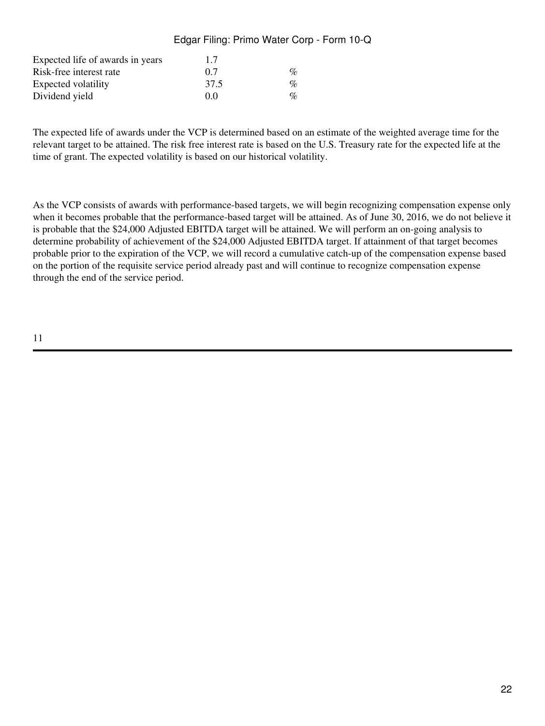# Edgar Filing: Primo Water Corp - Form 10-Q

| Expected life of awards in years | 1.7  |                 |
|----------------------------------|------|-----------------|
| Risk-free interest rate          | 0.7  | $\mathcal{O}_D$ |
| Expected volatility              | 37.5 | $\%$            |
| Dividend yield                   | 00   | $\mathcal{O}_D$ |

The expected life of awards under the VCP is determined based on an estimate of the weighted average time for the relevant target to be attained. The risk free interest rate is based on the U.S. Treasury rate for the expected life at the time of grant. The expected volatility is based on our historical volatility.

As the VCP consists of awards with performance-based targets, we will begin recognizing compensation expense only when it becomes probable that the performance-based target will be attained. As of June 30, 2016, we do not believe it is probable that the \$24,000 Adjusted EBITDA target will be attained. We will perform an on-going analysis to determine probability of achievement of the \$24,000 Adjusted EBITDA target. If attainment of that target becomes probable prior to the expiration of the VCP, we will record a cumulative catch-up of the compensation expense based on the portion of the requisite service period already past and will continue to recognize compensation expense through the end of the service period.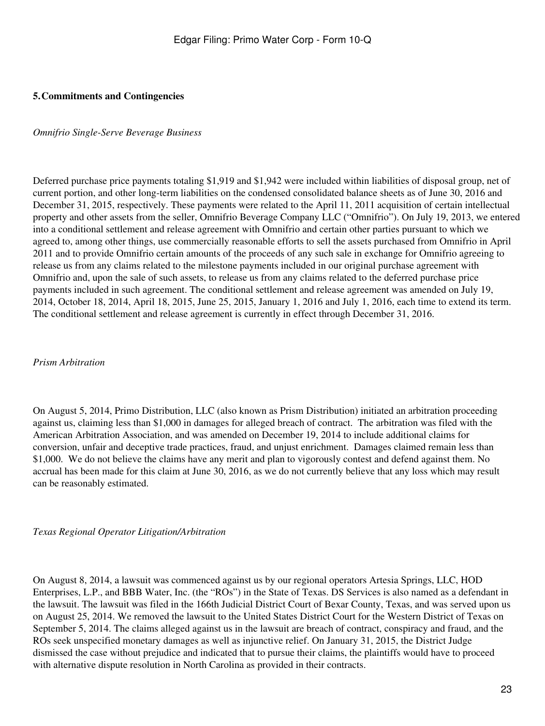### **5.Commitments and Contingencies**

#### *Omnifrio Single-Serve Beverage Business*

Deferred purchase price payments totaling \$1,919 and \$1,942 were included within liabilities of disposal group, net of current portion, and other long-term liabilities on the condensed consolidated balance sheets as of June 30, 2016 and December 31, 2015, respectively. These payments were related to the April 11, 2011 acquisition of certain intellectual property and other assets from the seller, Omnifrio Beverage Company LLC ("Omnifrio"). On July 19, 2013, we entered into a conditional settlement and release agreement with Omnifrio and certain other parties pursuant to which we agreed to, among other things, use commercially reasonable efforts to sell the assets purchased from Omnifrio in April 2011 and to provide Omnifrio certain amounts of the proceeds of any such sale in exchange for Omnifrio agreeing to release us from any claims related to the milestone payments included in our original purchase agreement with Omnifrio and, upon the sale of such assets, to release us from any claims related to the deferred purchase price payments included in such agreement. The conditional settlement and release agreement was amended on July 19, 2014, October 18, 2014, April 18, 2015, June 25, 2015, January 1, 2016 and July 1, 2016, each time to extend its term. The conditional settlement and release agreement is currently in effect through December 31, 2016.

#### *Prism Arbitration*

On August 5, 2014, Primo Distribution, LLC (also known as Prism Distribution) initiated an arbitration proceeding against us, claiming less than \$1,000 in damages for alleged breach of contract. The arbitration was filed with the American Arbitration Association, and was amended on December 19, 2014 to include additional claims for conversion, unfair and deceptive trade practices, fraud, and unjust enrichment. Damages claimed remain less than \$1,000. We do not believe the claims have any merit and plan to vigorously contest and defend against them. No accrual has been made for this claim at June 30, 2016, as we do not currently believe that any loss which may result can be reasonably estimated.

#### *Texas Regional Operator Litigation/Arbitration*

On August 8, 2014, a lawsuit was commenced against us by our regional operators Artesia Springs, LLC, HOD Enterprises, L.P., and BBB Water, Inc. (the "ROs") in the State of Texas. DS Services is also named as a defendant in the lawsuit. The lawsuit was filed in the 166th Judicial District Court of Bexar County, Texas, and was served upon us on August 25, 2014. We removed the lawsuit to the United States District Court for the Western District of Texas on September 5, 2014. The claims alleged against us in the lawsuit are breach of contract, conspiracy and fraud, and the ROs seek unspecified monetary damages as well as injunctive relief. On January 31, 2015, the District Judge dismissed the case without prejudice and indicated that to pursue their claims, the plaintiffs would have to proceed with alternative dispute resolution in North Carolina as provided in their contracts.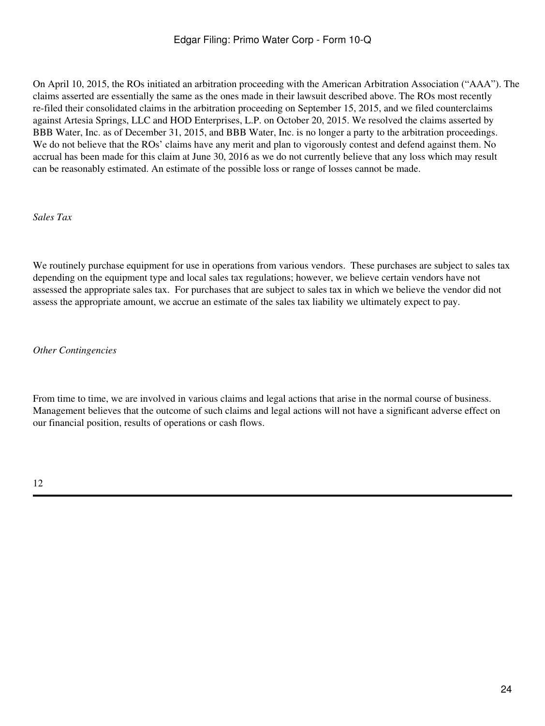On April 10, 2015, the ROs initiated an arbitration proceeding with the American Arbitration Association ("AAA"). The claims asserted are essentially the same as the ones made in their lawsuit described above. The ROs most recently re-filed their consolidated claims in the arbitration proceeding on September 15, 2015, and we filed counterclaims against Artesia Springs, LLC and HOD Enterprises, L.P. on October 20, 2015. We resolved the claims asserted by BBB Water, Inc. as of December 31, 2015, and BBB Water, Inc. is no longer a party to the arbitration proceedings. We do not believe that the ROs' claims have any merit and plan to vigorously contest and defend against them. No accrual has been made for this claim at June 30, 2016 as we do not currently believe that any loss which may result can be reasonably estimated. An estimate of the possible loss or range of losses cannot be made.

*Sales Tax*

We routinely purchase equipment for use in operations from various vendors. These purchases are subject to sales tax depending on the equipment type and local sales tax regulations; however, we believe certain vendors have not assessed the appropriate sales tax. For purchases that are subject to sales tax in which we believe the vendor did not assess the appropriate amount, we accrue an estimate of the sales tax liability we ultimately expect to pay.

*Other Contingencies*

From time to time, we are involved in various claims and legal actions that arise in the normal course of business. Management believes that the outcome of such claims and legal actions will not have a significant adverse effect on our financial position, results of operations or cash flows.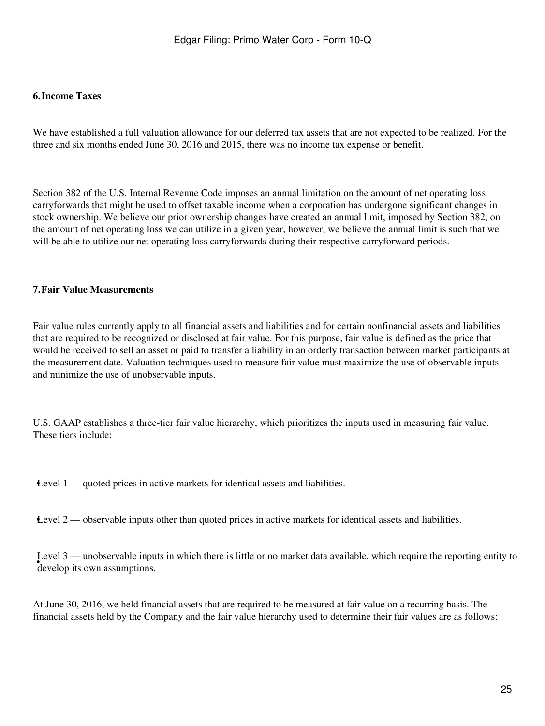#### **6.Income Taxes**

We have established a full valuation allowance for our deferred tax assets that are not expected to be realized. For the three and six months ended June 30, 2016 and 2015, there was no income tax expense or benefit.

Section 382 of the U.S. Internal Revenue Code imposes an annual limitation on the amount of net operating loss carryforwards that might be used to offset taxable income when a corporation has undergone significant changes in stock ownership. We believe our prior ownership changes have created an annual limit, imposed by Section 382, on the amount of net operating loss we can utilize in a given year, however, we believe the annual limit is such that we will be able to utilize our net operating loss carryforwards during their respective carryforward periods.

#### **7.Fair Value Measurements**

Fair value rules currently apply to all financial assets and liabilities and for certain nonfinancial assets and liabilities that are required to be recognized or disclosed at fair value. For this purpose, fair value is defined as the price that would be received to sell an asset or paid to transfer a liability in an orderly transaction between market participants at the measurement date. Valuation techniques used to measure fair value must maximize the use of observable inputs and minimize the use of unobservable inputs.

U.S. GAAP establishes a three-tier fair value hierarchy, which prioritizes the inputs used in measuring fair value. These tiers include:

**Level 1** — quoted prices in active markets for identical assets and liabilities.

**Level 2** — observable inputs other than quoted prices in active markets for identical assets and liabilities.

**•**<br>develop its own assumptions. Level 3 — unobservable inputs in which there is little or no market data available, which require the reporting entity to

At June 30, 2016, we held financial assets that are required to be measured at fair value on a recurring basis. The financial assets held by the Company and the fair value hierarchy used to determine their fair values are as follows: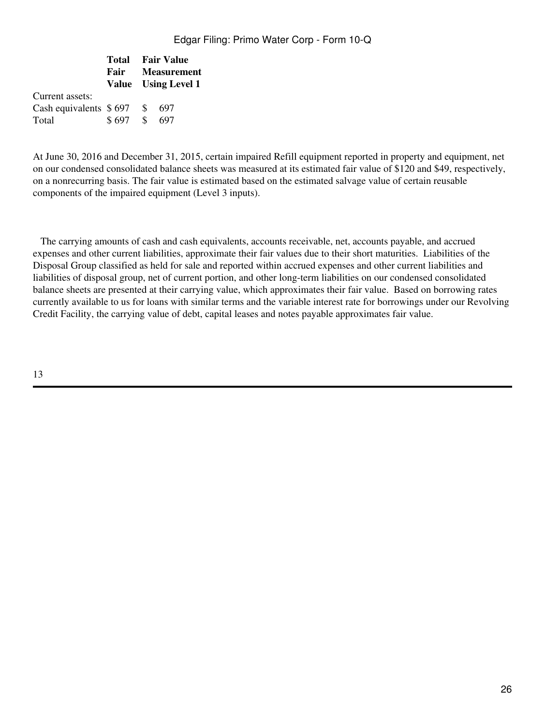|  |  |                                                                   | <b>Fair</b> Measurement<br>Value Using Level 1 |  |
|--|--|-------------------------------------------------------------------|------------------------------------------------|--|
|  |  |                                                                   |                                                |  |
|  |  | -697                                                              |                                                |  |
|  |  | - 697                                                             |                                                |  |
|  |  | <b>Total</b> Fair Value<br>Cash equivalents $$697$ \ \$<br>\$697S |                                                |  |

At June 30, 2016 and December 31, 2015, certain impaired Refill equipment reported in property and equipment, net on our condensed consolidated balance sheets was measured at its estimated fair value of \$120 and \$49, respectively, on a nonrecurring basis. The fair value is estimated based on the estimated salvage value of certain reusable components of the impaired equipment (Level 3 inputs).

 The carrying amounts of cash and cash equivalents, accounts receivable, net, accounts payable, and accrued expenses and other current liabilities, approximate their fair values due to their short maturities. Liabilities of the Disposal Group classified as held for sale and reported within accrued expenses and other current liabilities and liabilities of disposal group, net of current portion, and other long-term liabilities on our condensed consolidated balance sheets are presented at their carrying value, which approximates their fair value. Based on borrowing rates currently available to us for loans with similar terms and the variable interest rate for borrowings under our Revolving Credit Facility, the carrying value of debt, capital leases and notes payable approximates fair value.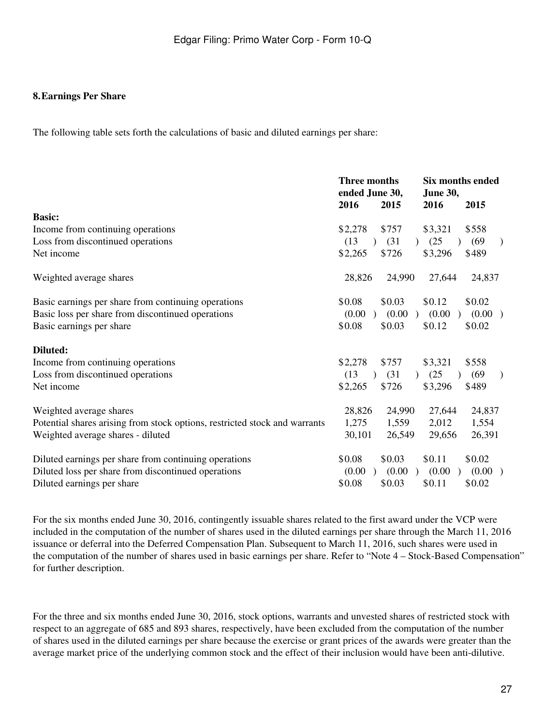#### **8.Earnings Per Share**

The following table sets forth the calculations of basic and diluted earnings per share:

|                                                                            | <b>Three months</b><br>ended June 30,<br>2016 | 2015                  | <b>Six months ended</b><br><b>June 30,</b><br>2016<br>2015 |                         |  |
|----------------------------------------------------------------------------|-----------------------------------------------|-----------------------|------------------------------------------------------------|-------------------------|--|
| <b>Basic:</b>                                                              |                                               |                       |                                                            |                         |  |
| Income from continuing operations                                          | \$2,278                                       | \$757                 | \$3,321                                                    | \$558                   |  |
| Loss from discontinued operations                                          | (13)<br>$\lambda$                             | (31)                  | (25)                                                       | (69)<br>$\mathcal{E}$   |  |
| Net income                                                                 | \$2,265                                       | \$726                 | \$3,296                                                    | \$489                   |  |
| Weighted average shares                                                    | 28,826                                        | 24,990                | 27,644                                                     | 24,837                  |  |
| Basic earnings per share from continuing operations                        | \$0.08                                        | \$0.03                | \$0.12                                                     | \$0.02                  |  |
| Basic loss per share from discontinued operations                          | (0.00)<br>$\lambda$                           | (0.00)                | (0.00)                                                     | (0.00)                  |  |
| Basic earnings per share                                                   | \$0.08                                        | \$0.03                | \$0.12                                                     | \$0.02                  |  |
| Diluted:                                                                   |                                               |                       |                                                            |                         |  |
| Income from continuing operations                                          | \$2,278                                       | \$757                 | \$3,321                                                    | \$558                   |  |
| Loss from discontinued operations                                          | (13)<br>$\lambda$                             | (31)<br>$\mathcal{L}$ | (25)                                                       | (69)<br>$\mathcal{E}$   |  |
| Net income                                                                 | \$2,265                                       | \$726                 | \$3,296                                                    | \$489                   |  |
| Weighted average shares                                                    | 28,826                                        | 24,990                | 27,644                                                     | 24,837                  |  |
| Potential shares arising from stock options, restricted stock and warrants | 1,275                                         | 1,559                 | 2,012                                                      | 1,554                   |  |
| Weighted average shares - diluted                                          | 30,101                                        | 26,549                | 29,656                                                     | 26,391                  |  |
| Diluted earnings per share from continuing operations                      | \$0.08                                        | \$0.03                | \$0.11                                                     | \$0.02                  |  |
| Diluted loss per share from discontinued operations                        | (0.00)                                        | (0.00)                | (0.00)                                                     | (0.00)<br>$\rightarrow$ |  |
| Diluted earnings per share                                                 | \$0.08                                        | \$0.03                | \$0.11                                                     | \$0.02                  |  |

For the six months ended June 30, 2016, contingently issuable shares related to the first award under the VCP were included in the computation of the number of shares used in the diluted earnings per share through the March 11, 2016 issuance or deferral into the Deferred Compensation Plan. Subsequent to March 11, 2016, such shares were used in the computation of the number of shares used in basic earnings per share. Refer to "Note 4 – Stock-Based Compensation" for further description.

For the three and six months ended June 30, 2016, stock options, warrants and unvested shares of restricted stock with respect to an aggregate of 685 and 893 shares, respectively, have been excluded from the computation of the number of shares used in the diluted earnings per share because the exercise or grant prices of the awards were greater than the average market price of the underlying common stock and the effect of their inclusion would have been anti-dilutive.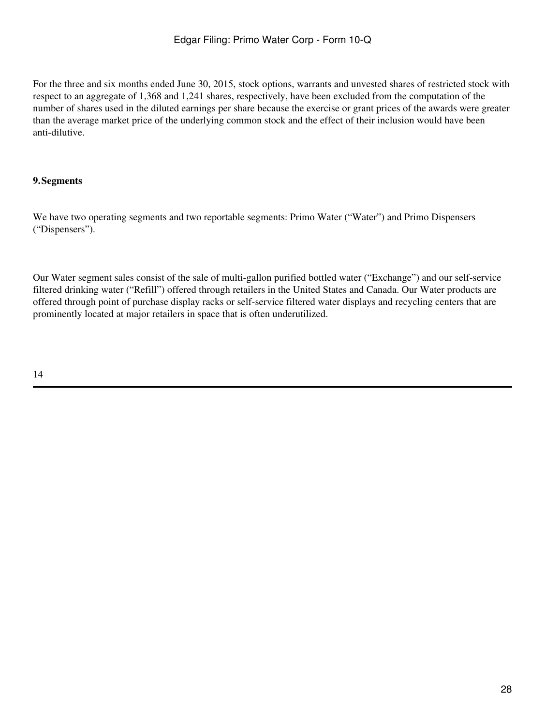For the three and six months ended June 30, 2015, stock options, warrants and unvested shares of restricted stock with respect to an aggregate of 1,368 and 1,241 shares, respectively, have been excluded from the computation of the number of shares used in the diluted earnings per share because the exercise or grant prices of the awards were greater than the average market price of the underlying common stock and the effect of their inclusion would have been anti-dilutive.

# **9.Segments**

We have two operating segments and two reportable segments: Primo Water ("Water") and Primo Dispensers ("Dispensers").

Our Water segment sales consist of the sale of multi-gallon purified bottled water ("Exchange") and our self-service filtered drinking water ("Refill") offered through retailers in the United States and Canada. Our Water products are offered through point of purchase display racks or self-service filtered water displays and recycling centers that are prominently located at major retailers in space that is often underutilized.

14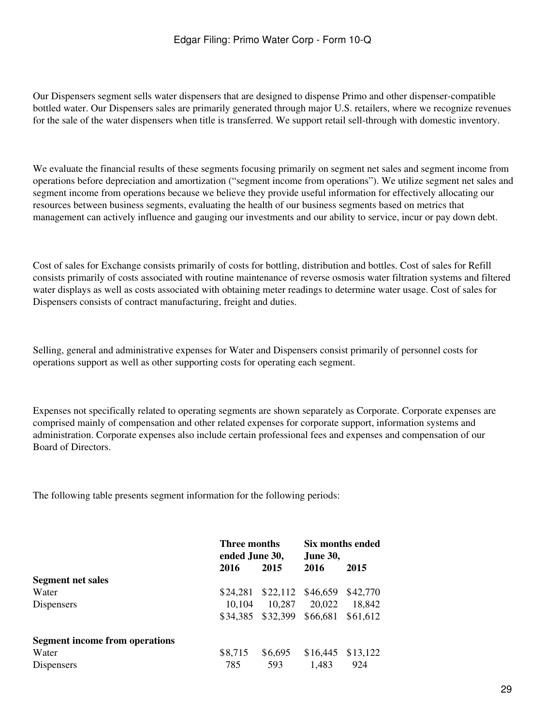Our Dispensers segment sells water dispensers that are designed to dispense Primo and other dispenser-compatible bottled water. Our Dispensers sales are primarily generated through major U.S. retailers, where we recognize revenues for the sale of the water dispensers when title is transferred. We support retail sell-through with domestic inventory.

We evaluate the financial results of these segments focusing primarily on segment net sales and segment income from operations before depreciation and amortization ("segment income from operations"). We utilize segment net sales and segment income from operations because we believe they provide useful information for effectively allocating our resources between business segments, evaluating the health of our business segments based on metrics that management can actively influence and gauging our investments and our ability to service, incur or pay down debt.

Cost of sales for Exchange consists primarily of costs for bottling, distribution and bottles. Cost of sales for Refill consists primarily of costs associated with routine maintenance of reverse osmosis water filtration systems and filtered water displays as well as costs associated with obtaining meter readings to determine water usage. Cost of sales for Dispensers consists of contract manufacturing, freight and duties.

Selling, general and administrative expenses for Water and Dispensers consist primarily of personnel costs for operations support as well as other supporting costs for operating each segment.

Expenses not specifically related to operating segments are shown separately as Corporate. Corporate expenses are comprised mainly of compensation and other related expenses for corporate support, information systems and administration. Corporate expenses also include certain professional fees and expenses and compensation of our Board of Directors.

The following table presents segment information for the following periods:

|                                       |          | Three months<br>ended June 30, |                     | Six months ended<br><b>June 30,</b> |  |
|---------------------------------------|----------|--------------------------------|---------------------|-------------------------------------|--|
|                                       | 2016     | 2015                           | 2016                | 2015                                |  |
| <b>Segment net sales</b>              |          |                                |                     |                                     |  |
| Water                                 | \$24,281 |                                | $$22,112$ $$46,659$ | \$42,770                            |  |
| <b>Dispensers</b>                     | 10,104   | 10,287                         | 20,022              | 18,842                              |  |
|                                       | \$34,385 | \$32,399                       | \$66,681            | \$61.612                            |  |
| <b>Segment income from operations</b> |          |                                |                     |                                     |  |
| Water                                 | \$8,715  | \$6,695                        | \$16,445            | \$13,122                            |  |
| <b>Dispensers</b>                     | 785      | 593                            | 1,483               | 924                                 |  |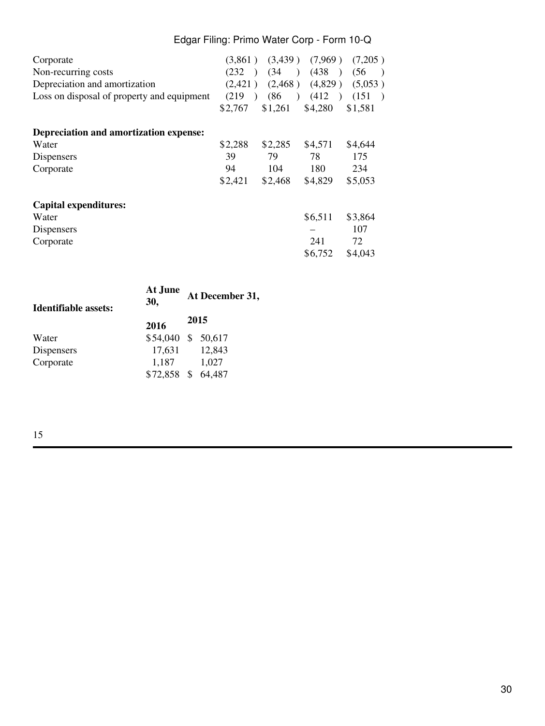# Edgar Filing: Primo Water Corp - Form 10-Q

| Corporate<br>Non-recurring costs<br>Depreciation and amortization<br>Loss on disposal of property and equipment | (232)<br>$\rightarrow$<br>(2,421)<br>(219)<br>$\lambda$<br>\$2,767 | (34)<br>(86)<br>\$1,261 | (438)<br>$(2,468)$ $(4,829)$<br>(412)<br>\$4,280 | $(3,861)$ $(3,439)$ $(7,969)$ $(7,205)$<br>(56)<br>$\overline{\phantom{a}}$<br>(5,053)<br>(151)<br>\$1,581 |
|-----------------------------------------------------------------------------------------------------------------|--------------------------------------------------------------------|-------------------------|--------------------------------------------------|------------------------------------------------------------------------------------------------------------|
|                                                                                                                 |                                                                    |                         |                                                  |                                                                                                            |
| Depreciation and amortization expense:                                                                          |                                                                    |                         |                                                  |                                                                                                            |
| Water                                                                                                           | \$2,288                                                            | \$2,285                 | \$4,571                                          | \$4,644                                                                                                    |
| Dispensers                                                                                                      | 39                                                                 | 79                      | 78                                               | 175                                                                                                        |
| Corporate                                                                                                       | 94                                                                 | 104                     | 180                                              | 234                                                                                                        |
|                                                                                                                 | \$2,421                                                            | \$2,468                 | \$4,829                                          | \$5,053                                                                                                    |
| <b>Capital expenditures:</b>                                                                                    |                                                                    |                         |                                                  |                                                                                                            |
| Water                                                                                                           |                                                                    |                         | \$6,511                                          | \$3,864                                                                                                    |
| Dispensers                                                                                                      |                                                                    |                         |                                                  | 107                                                                                                        |
| Corporate                                                                                                       |                                                                    |                         | 241                                              | 72                                                                                                         |
|                                                                                                                 |                                                                    |                         | \$6,752                                          | \$4,043                                                                                                    |

| Identifiable assets: | At June<br>30,        | At December 31, |
|----------------------|-----------------------|-----------------|
| 2016                 |                       | 2015            |
| Water                | \$54,040 \$ 50,617    |                 |
| Dispensers           | 17,631                | 12,843          |
| Corporate            | 1,187<br>$$72,858$ \$ | 1,027           |
|                      |                       | 64,487          |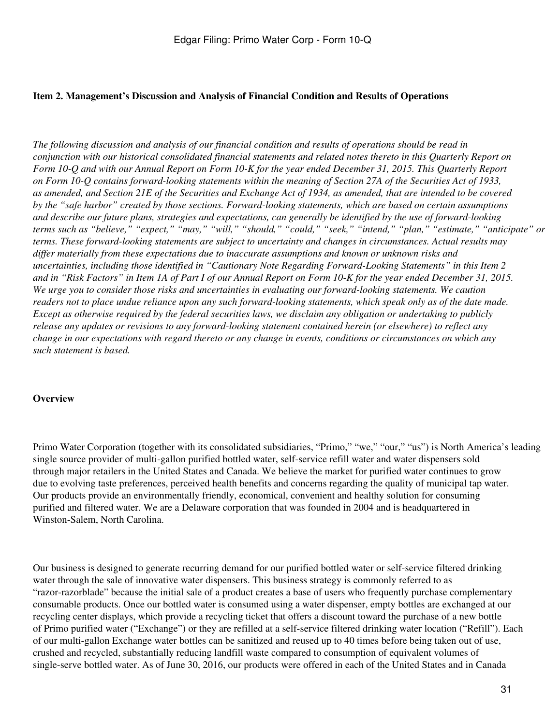### **Item 2. Management's Discussion and Analysis of Financial Condition and Results of Operations**

*The following discussion and analysis of our financial condition and results of operations should be read in conjunction with our historical consolidated financial statements and related notes thereto in this Quarterly Report on Form 10-Q and with our Annual Report on Form 10-K for the year ended December 31, 2015. This Quarterly Report on Form 10-Q contains forward-looking statements within the meaning of Section 27A of the Securities Act of 1933, as amended, and Section 21E of the Securities and Exchange Act of 1934, as amended, that are intended to be covered by the "safe harbor" created by those sections. Forward-looking statements, which are based on certain assumptions and describe our future plans, strategies and expectations, can generally be identified by the use of forward-looking terms such as "believe," "expect," "may," "will," "should," "could," "seek," "intend," "plan," "estimate," "anticipate" or terms. These forward-looking statements are subject to uncertainty and changes in circumstances. Actual results may differ materially from these expectations due to inaccurate assumptions and known or unknown risks and uncertainties, including those identified in "Cautionary Note Regarding Forward-Looking Statements" in this Item 2 and in "Risk Factors" in Item 1A of Part I of our Annual Report on Form 10-K for the year ended December 31, 2015. We urge you to consider those risks and uncertainties in evaluating our forward-looking statements. We caution readers not to place undue reliance upon any such forward-looking statements, which speak only as of the date made. Except as otherwise required by the federal securities laws, we disclaim any obligation or undertaking to publicly release any updates or revisions to any forward-looking statement contained herein (or elsewhere) to reflect any change in our expectations with regard thereto or any change in events, conditions or circumstances on which any such statement is based.*

#### **Overview**

Primo Water Corporation (together with its consolidated subsidiaries, "Primo," "we," "our," "us") is North America's leading single source provider of multi-gallon purified bottled water, self-service refill water and water dispensers sold through major retailers in the United States and Canada. We believe the market for purified water continues to grow due to evolving taste preferences, perceived health benefits and concerns regarding the quality of municipal tap water. Our products provide an environmentally friendly, economical, convenient and healthy solution for consuming purified and filtered water. We are a Delaware corporation that was founded in 2004 and is headquartered in Winston-Salem, North Carolina.

Our business is designed to generate recurring demand for our purified bottled water or self-service filtered drinking water through the sale of innovative water dispensers. This business strategy is commonly referred to as "razor-razorblade" because the initial sale of a product creates a base of users who frequently purchase complementary consumable products. Once our bottled water is consumed using a water dispenser, empty bottles are exchanged at our recycling center displays, which provide a recycling ticket that offers a discount toward the purchase of a new bottle of Primo purified water ("Exchange") or they are refilled at a self-service filtered drinking water location ("Refill"). Each of our multi-gallon Exchange water bottles can be sanitized and reused up to 40 times before being taken out of use, crushed and recycled, substantially reducing landfill waste compared to consumption of equivalent volumes of single-serve bottled water. As of June 30, 2016, our products were offered in each of the United States and in Canada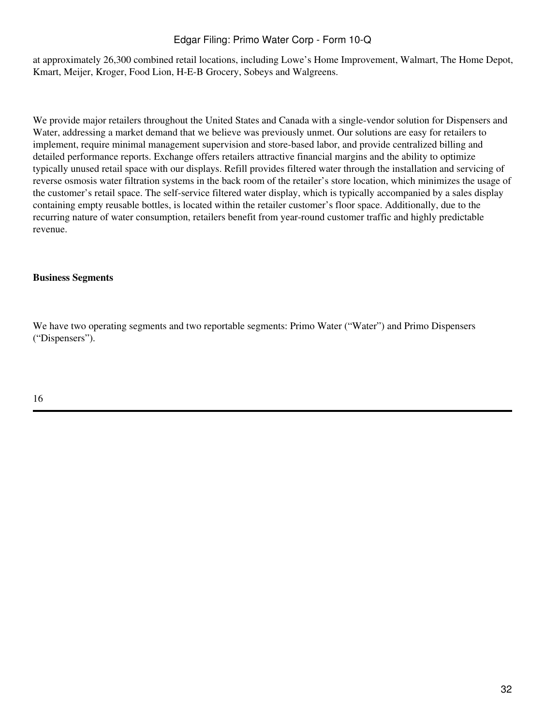# Edgar Filing: Primo Water Corp - Form 10-Q

at approximately 26,300 combined retail locations, including Lowe's Home Improvement, Walmart, The Home Depot, Kmart, Meijer, Kroger, Food Lion, H-E-B Grocery, Sobeys and Walgreens.

We provide major retailers throughout the United States and Canada with a single-vendor solution for Dispensers and Water, addressing a market demand that we believe was previously unmet. Our solutions are easy for retailers to implement, require minimal management supervision and store-based labor, and provide centralized billing and detailed performance reports. Exchange offers retailers attractive financial margins and the ability to optimize typically unused retail space with our displays. Refill provides filtered water through the installation and servicing of reverse osmosis water filtration systems in the back room of the retailer's store location, which minimizes the usage of the customer's retail space. The self-service filtered water display, which is typically accompanied by a sales display containing empty reusable bottles, is located within the retailer customer's floor space. Additionally, due to the recurring nature of water consumption, retailers benefit from year-round customer traffic and highly predictable revenue.

### **Business Segments**

We have two operating segments and two reportable segments: Primo Water ("Water") and Primo Dispensers ("Dispensers").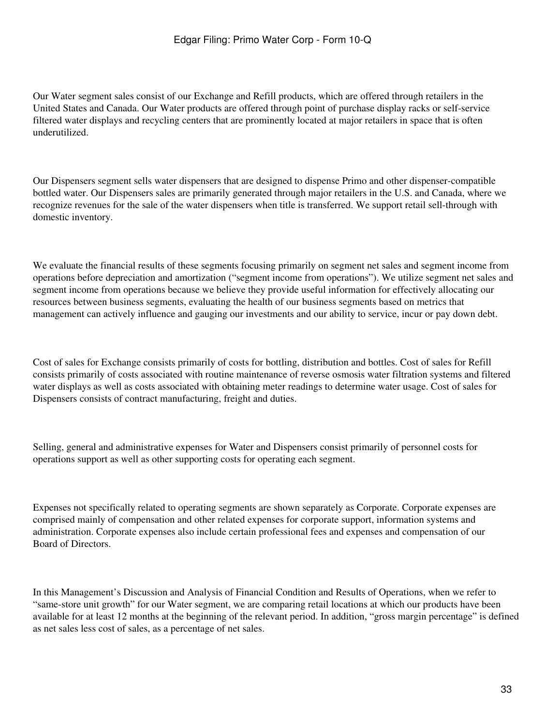Our Water segment sales consist of our Exchange and Refill products, which are offered through retailers in the United States and Canada. Our Water products are offered through point of purchase display racks or self-service filtered water displays and recycling centers that are prominently located at major retailers in space that is often underutilized.

Our Dispensers segment sells water dispensers that are designed to dispense Primo and other dispenser-compatible bottled water. Our Dispensers sales are primarily generated through major retailers in the U.S. and Canada, where we recognize revenues for the sale of the water dispensers when title is transferred. We support retail sell-through with domestic inventory.

We evaluate the financial results of these segments focusing primarily on segment net sales and segment income from operations before depreciation and amortization ("segment income from operations"). We utilize segment net sales and segment income from operations because we believe they provide useful information for effectively allocating our resources between business segments, evaluating the health of our business segments based on metrics that management can actively influence and gauging our investments and our ability to service, incur or pay down debt.

Cost of sales for Exchange consists primarily of costs for bottling, distribution and bottles. Cost of sales for Refill consists primarily of costs associated with routine maintenance of reverse osmosis water filtration systems and filtered water displays as well as costs associated with obtaining meter readings to determine water usage. Cost of sales for Dispensers consists of contract manufacturing, freight and duties.

Selling, general and administrative expenses for Water and Dispensers consist primarily of personnel costs for operations support as well as other supporting costs for operating each segment.

Expenses not specifically related to operating segments are shown separately as Corporate. Corporate expenses are comprised mainly of compensation and other related expenses for corporate support, information systems and administration. Corporate expenses also include certain professional fees and expenses and compensation of our Board of Directors.

In this Management's Discussion and Analysis of Financial Condition and Results of Operations, when we refer to "same-store unit growth" for our Water segment, we are comparing retail locations at which our products have been available for at least 12 months at the beginning of the relevant period. In addition, "gross margin percentage" is defined as net sales less cost of sales, as a percentage of net sales.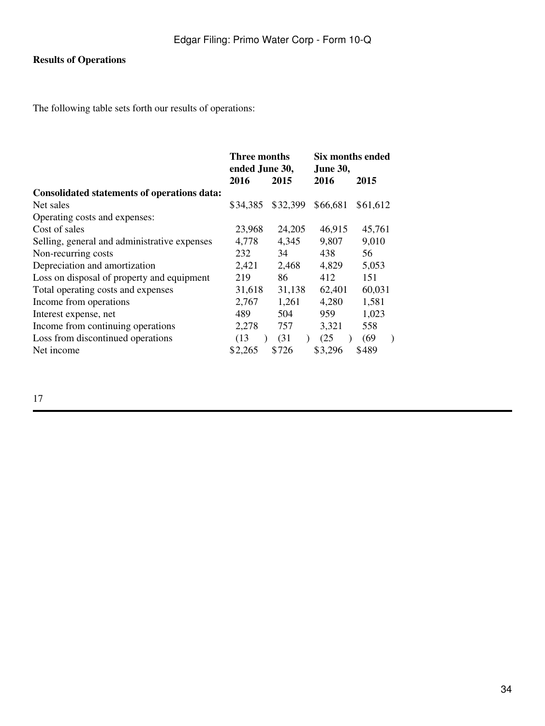# **Results of Operations**

The following table sets forth our results of operations:

|                                                    | Three months<br>ended June 30, |          | Six months ended<br><b>June 30,</b> |          |  |
|----------------------------------------------------|--------------------------------|----------|-------------------------------------|----------|--|
|                                                    | 2016                           | 2015     | 2016                                |          |  |
| <b>Consolidated statements of operations data:</b> |                                |          |                                     |          |  |
| Net sales                                          | \$34,385                       | \$32,399 | \$66,681                            | \$61,612 |  |
| Operating costs and expenses:                      |                                |          |                                     |          |  |
| Cost of sales                                      | 23,968                         | 24,205   | 46,915                              | 45,761   |  |
| Selling, general and administrative expenses       | 4,778                          | 4,345    | 9,807                               | 9,010    |  |
| Non-recurring costs                                | 232                            | 34       | 438                                 | 56       |  |
| Depreciation and amortization                      | 2,421                          | 2,468    | 4,829                               | 5,053    |  |
| Loss on disposal of property and equipment         | 219                            | 86       | 412                                 | 151      |  |
| Total operating costs and expenses                 | 31,618                         | 31,138   | 62,401                              | 60,031   |  |
| Income from operations                             | 2,767                          | 1,261    | 4,280                               | 1,581    |  |
| Interest expense, net                              | 489                            | 504      | 959                                 | 1,023    |  |
| Income from continuing operations                  | 2,278                          | 757      | 3,321                               | 558      |  |
| Loss from discontinued operations                  | (13)                           | (31)     | (25)                                | (69)     |  |
| Net income                                         | \$2,265                        | \$726    | \$3,296                             | \$489    |  |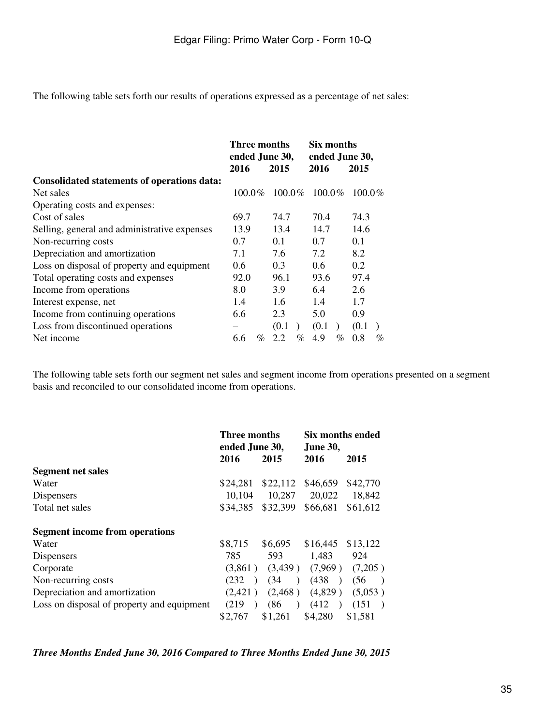The following table sets forth our results of operations expressed as a percentage of net sales:

|                                                    | Three months<br>ended June 30, |      |        | Six months<br>ended June 30, |               |      |           |   |
|----------------------------------------------------|--------------------------------|------|--------|------------------------------|---------------|------|-----------|---|
|                                                    | 2016                           |      | 2015   |                              | 2016          |      | 2015      |   |
| <b>Consolidated statements of operations data:</b> |                                |      |        |                              |               |      |           |   |
| Net sales                                          | $100.0\%$                      |      | 100.0% |                              | $100.0\%$     |      | $100.0\%$ |   |
| Operating costs and expenses:                      |                                |      |        |                              |               |      |           |   |
| Cost of sales                                      | 69.7                           |      | 74.7   |                              | 70.4          |      | 74.3      |   |
| Selling, general and administrative expenses       | 13.9                           |      | 13.4   |                              | 14.7          |      | 14.6      |   |
| Non-recurring costs                                | 0.7                            |      | 0.1    |                              | 0.7           |      | 0.1       |   |
| Depreciation and amortization                      | 7.1                            |      | 7.6    |                              | 7.2           |      | 8.2       |   |
| Loss on disposal of property and equipment         | $0.6^{\circ}$                  |      | 0.3    |                              | $0.6^{\circ}$ |      | 0.2       |   |
| Total operating costs and expenses                 | 92.0                           |      | 96.1   |                              | 93.6          |      | 97.4      |   |
| Income from operations                             | 8.0                            |      | 3.9    |                              | 6.4           |      | 2.6       |   |
| Interest expense, net                              | 1.4                            |      | 1.6    |                              | 1.4           |      | 1.7       |   |
| Income from continuing operations                  | 6.6                            |      | 2.3    |                              | 5.0           |      | 0.9       |   |
| Loss from discontinued operations                  |                                |      | (0.1)  |                              | (0.1)         |      | (0.1)     |   |
| Net income                                         | 6.6                            | $\%$ | 2.2    | $\%$                         | 4.9           | $\%$ | 0.8       | % |

The following table sets forth our segment net sales and segment income from operations presented on a segment basis and reconciled to our consolidated income from operations.

|                                            | <b>Three months</b><br>ended June 30, |                   | Six months ended<br><b>June 30,</b> |                       |  |
|--------------------------------------------|---------------------------------------|-------------------|-------------------------------------|-----------------------|--|
|                                            | 2016                                  | 2015              | 2016                                | 2015                  |  |
| <b>Segment net sales</b>                   |                                       |                   |                                     |                       |  |
| Water                                      | \$24,281                              | \$22,112          | \$46,659                            | \$42,770              |  |
| Dispensers                                 | 10,104                                | 10,287            | 20,022                              | 18,842                |  |
| Total net sales                            | \$34,385                              | \$32,399          | \$66,681                            | \$61,612              |  |
| <b>Segment income from operations</b>      |                                       |                   |                                     |                       |  |
| Water                                      | \$8,715                               | \$6,695           | \$16,445                            | \$13,122              |  |
| Dispensers                                 | 785                                   | 593               | 1,483                               | 924                   |  |
| Corporate                                  | (3.861)                               |                   | $(3,439)$ $(7,969)$                 | (7,205)               |  |
| Non-recurring costs                        | (232)<br>$\lambda$                    | (34)<br>$\lambda$ | (438)<br>$\rightarrow$              | (56)<br>$\rightarrow$ |  |
| Depreciation and amortization              | (2.421)                               | (2, 468)          | (4,829)                             | (5,053)               |  |
| Loss on disposal of property and equipment | (219)<br>$\lambda$                    | (86)<br>$\big)$   | (412)                               | (151)                 |  |
|                                            | \$2,767                               | \$1,261           | \$4,280                             | \$1,581               |  |

*Three Months Ended June 30, 2016 Compared to Three Months Ended June 30, 2015*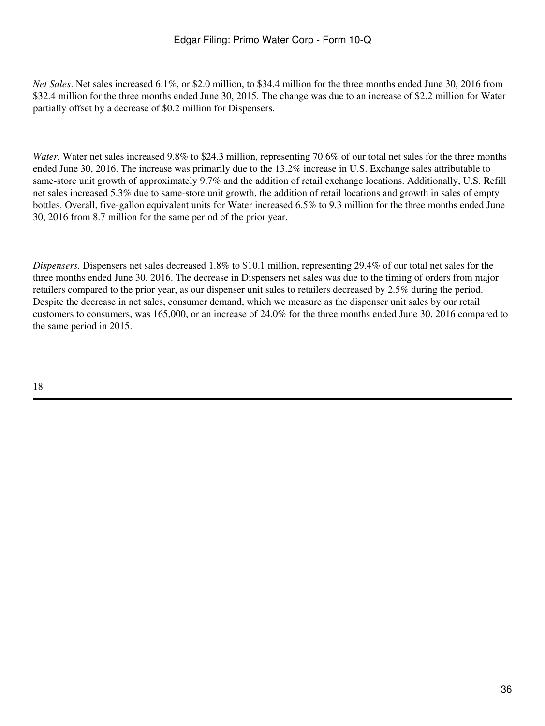*Net Sales*. Net sales increased 6.1%, or \$2.0 million, to \$34.4 million for the three months ended June 30, 2016 from \$32.4 million for the three months ended June 30, 2015. The change was due to an increase of \$2.2 million for Water partially offset by a decrease of \$0.2 million for Dispensers.

*Water.* Water net sales increased 9.8% to \$24.3 million, representing 70.6% of our total net sales for the three months ended June 30, 2016. The increase was primarily due to the 13.2% increase in U.S. Exchange sales attributable to same-store unit growth of approximately 9.7% and the addition of retail exchange locations. Additionally, U.S. Refill net sales increased 5.3% due to same-store unit growth, the addition of retail locations and growth in sales of empty bottles. Overall, five-gallon equivalent units for Water increased 6.5% to 9.3 million for the three months ended June 30, 2016 from 8.7 million for the same period of the prior year.

*Dispensers.* Dispensers net sales decreased 1.8% to \$10.1 million, representing 29.4% of our total net sales for the three months ended June 30, 2016. The decrease in Dispensers net sales was due to the timing of orders from major retailers compared to the prior year, as our dispenser unit sales to retailers decreased by 2.5% during the period. Despite the decrease in net sales, consumer demand, which we measure as the dispenser unit sales by our retail customers to consumers, was 165,000, or an increase of 24.0% for the three months ended June 30, 2016 compared to the same period in 2015.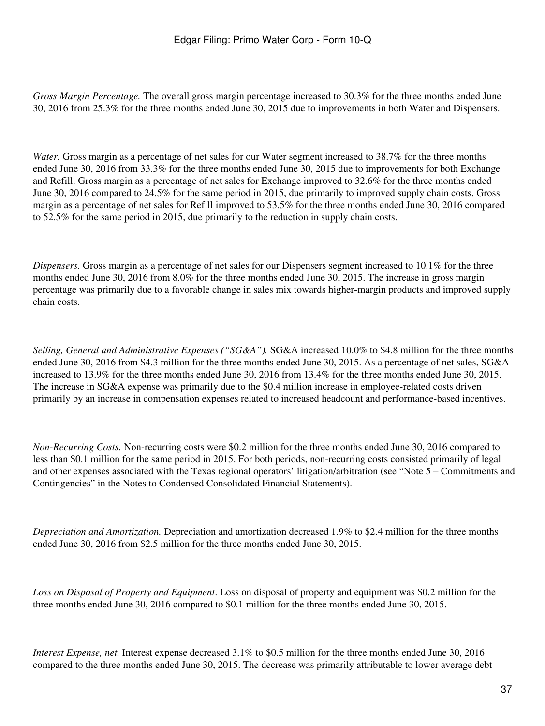*Gross Margin Percentage.* The overall gross margin percentage increased to 30.3% for the three months ended June 30, 2016 from 25.3% for the three months ended June 30, 2015 due to improvements in both Water and Dispensers.

*Water.* Gross margin as a percentage of net sales for our Water segment increased to 38.7% for the three months ended June 30, 2016 from 33.3% for the three months ended June 30, 2015 due to improvements for both Exchange and Refill. Gross margin as a percentage of net sales for Exchange improved to 32.6% for the three months ended June 30, 2016 compared to 24.5% for the same period in 2015, due primarily to improved supply chain costs. Gross margin as a percentage of net sales for Refill improved to 53.5% for the three months ended June 30, 2016 compared to 52.5% for the same period in 2015, due primarily to the reduction in supply chain costs.

*Dispensers.* Gross margin as a percentage of net sales for our Dispensers segment increased to 10.1% for the three months ended June 30, 2016 from 8.0% for the three months ended June 30, 2015. The increase in gross margin percentage was primarily due to a favorable change in sales mix towards higher-margin products and improved supply chain costs.

*Selling, General and Administrative Expenses ("SG&A").* SG&A increased 10.0% to \$4.8 million for the three months ended June 30, 2016 from \$4.3 million for the three months ended June 30, 2015. As a percentage of net sales, SG&A increased to 13.9% for the three months ended June 30, 2016 from 13.4% for the three months ended June 30, 2015. The increase in SG&A expense was primarily due to the \$0.4 million increase in employee-related costs driven primarily by an increase in compensation expenses related to increased headcount and performance-based incentives.

*Non-Recurring Costs.* Non-recurring costs were \$0.2 million for the three months ended June 30, 2016 compared to less than \$0.1 million for the same period in 2015. For both periods, non-recurring costs consisted primarily of legal and other expenses associated with the Texas regional operators' litigation/arbitration (see "Note 5 – Commitments and Contingencies" in the Notes to Condensed Consolidated Financial Statements).

*Depreciation and Amortization.* Depreciation and amortization decreased 1.9% to \$2.4 million for the three months ended June 30, 2016 from \$2.5 million for the three months ended June 30, 2015.

*Loss on Disposal of Property and Equipment*. Loss on disposal of property and equipment was \$0.2 million for the three months ended June 30, 2016 compared to \$0.1 million for the three months ended June 30, 2015.

*Interest Expense, net.* Interest expense decreased 3.1% to \$0.5 million for the three months ended June 30, 2016 compared to the three months ended June 30, 2015. The decrease was primarily attributable to lower average debt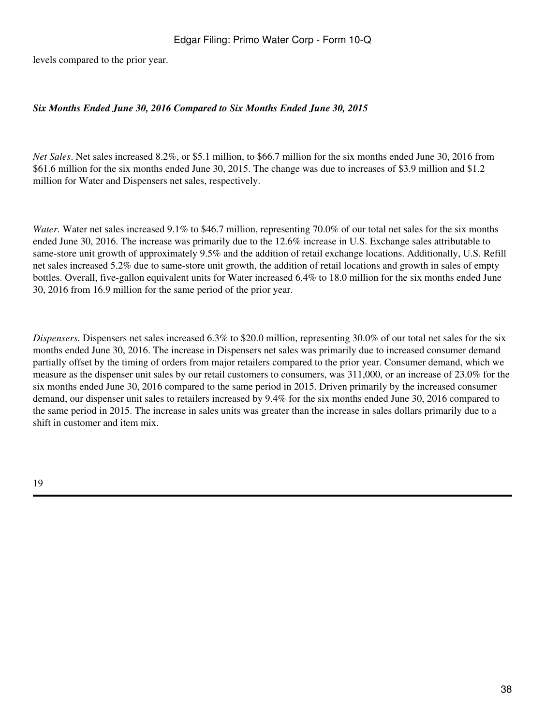levels compared to the prior year.

### *Six Months Ended June 30, 2016 Compared to Six Months Ended June 30, 2015*

*Net Sales*. Net sales increased 8.2%, or \$5.1 million, to \$66.7 million for the six months ended June 30, 2016 from \$61.6 million for the six months ended June 30, 2015. The change was due to increases of \$3.9 million and \$1.2 million for Water and Dispensers net sales, respectively.

*Water.* Water net sales increased 9.1% to \$46.7 million, representing 70.0% of our total net sales for the six months ended June 30, 2016. The increase was primarily due to the 12.6% increase in U.S. Exchange sales attributable to same-store unit growth of approximately 9.5% and the addition of retail exchange locations. Additionally, U.S. Refill net sales increased 5.2% due to same-store unit growth, the addition of retail locations and growth in sales of empty bottles. Overall, five-gallon equivalent units for Water increased 6.4% to 18.0 million for the six months ended June 30, 2016 from 16.9 million for the same period of the prior year.

*Dispensers.* Dispensers net sales increased 6.3% to \$20.0 million, representing 30.0% of our total net sales for the six months ended June 30, 2016. The increase in Dispensers net sales was primarily due to increased consumer demand partially offset by the timing of orders from major retailers compared to the prior year. Consumer demand, which we measure as the dispenser unit sales by our retail customers to consumers, was 311,000, or an increase of 23.0% for the six months ended June 30, 2016 compared to the same period in 2015. Driven primarily by the increased consumer demand, our dispenser unit sales to retailers increased by 9.4% for the six months ended June 30, 2016 compared to the same period in 2015. The increase in sales units was greater than the increase in sales dollars primarily due to a shift in customer and item mix.

19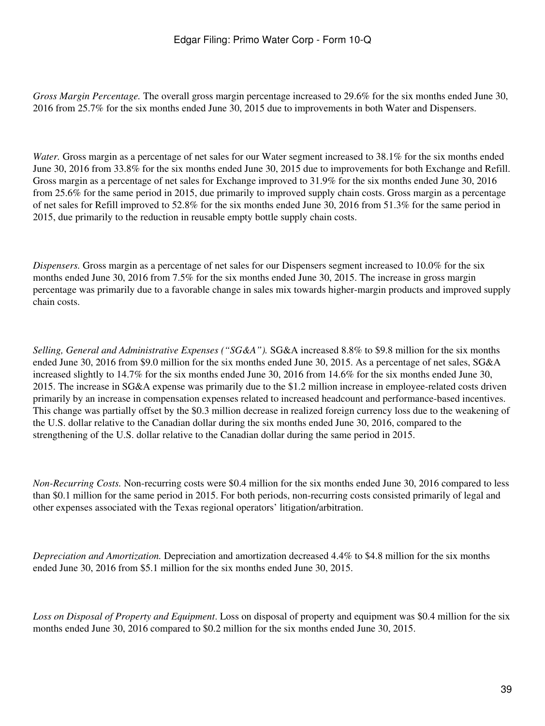*Gross Margin Percentage.* The overall gross margin percentage increased to 29.6% for the six months ended June 30, 2016 from 25.7% for the six months ended June 30, 2015 due to improvements in both Water and Dispensers.

*Water.* Gross margin as a percentage of net sales for our Water segment increased to 38.1% for the six months ended June 30, 2016 from 33.8% for the six months ended June 30, 2015 due to improvements for both Exchange and Refill. Gross margin as a percentage of net sales for Exchange improved to 31.9% for the six months ended June 30, 2016 from 25.6% for the same period in 2015, due primarily to improved supply chain costs. Gross margin as a percentage of net sales for Refill improved to 52.8% for the six months ended June 30, 2016 from 51.3% for the same period in 2015, due primarily to the reduction in reusable empty bottle supply chain costs.

*Dispensers.* Gross margin as a percentage of net sales for our Dispensers segment increased to 10.0% for the six months ended June 30, 2016 from 7.5% for the six months ended June 30, 2015. The increase in gross margin percentage was primarily due to a favorable change in sales mix towards higher-margin products and improved supply chain costs.

*Selling, General and Administrative Expenses ("SG&A").* SG&A increased 8.8% to \$9.8 million for the six months ended June 30, 2016 from \$9.0 million for the six months ended June 30, 2015. As a percentage of net sales, SG&A increased slightly to 14.7% for the six months ended June 30, 2016 from 14.6% for the six months ended June 30, 2015. The increase in SG&A expense was primarily due to the \$1.2 million increase in employee-related costs driven primarily by an increase in compensation expenses related to increased headcount and performance-based incentives. This change was partially offset by the \$0.3 million decrease in realized foreign currency loss due to the weakening of the U.S. dollar relative to the Canadian dollar during the six months ended June 30, 2016, compared to the strengthening of the U.S. dollar relative to the Canadian dollar during the same period in 2015.

*Non-Recurring Costs.* Non-recurring costs were \$0.4 million for the six months ended June 30, 2016 compared to less than \$0.1 million for the same period in 2015. For both periods, non-recurring costs consisted primarily of legal and other expenses associated with the Texas regional operators' litigation/arbitration.

*Depreciation and Amortization.* Depreciation and amortization decreased 4.4% to \$4.8 million for the six months ended June 30, 2016 from \$5.1 million for the six months ended June 30, 2015.

*Loss on Disposal of Property and Equipment*. Loss on disposal of property and equipment was \$0.4 million for the six months ended June 30, 2016 compared to \$0.2 million for the six months ended June 30, 2015.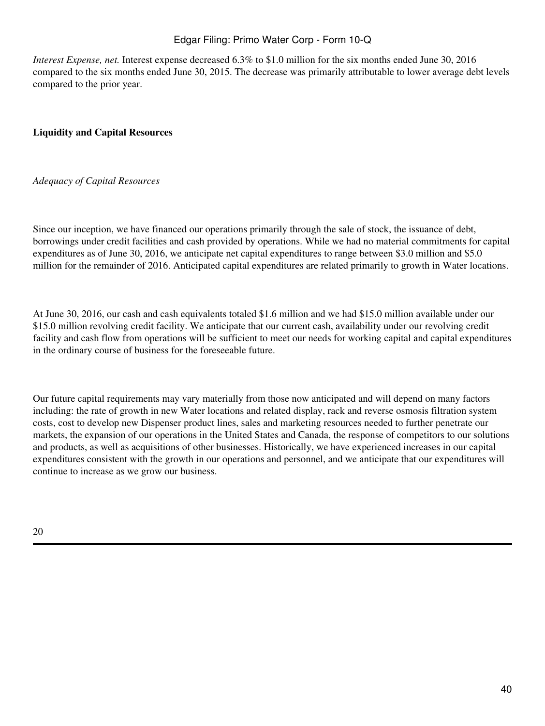# Edgar Filing: Primo Water Corp - Form 10-Q

*Interest Expense, net.* Interest expense decreased 6.3% to \$1.0 million for the six months ended June 30, 2016 compared to the six months ended June 30, 2015. The decrease was primarily attributable to lower average debt levels compared to the prior year.

### **Liquidity and Capital Resources**

### *Adequacy of Capital Resources*

Since our inception, we have financed our operations primarily through the sale of stock, the issuance of debt, borrowings under credit facilities and cash provided by operations. While we had no material commitments for capital expenditures as of June 30, 2016, we anticipate net capital expenditures to range between \$3.0 million and \$5.0 million for the remainder of 2016. Anticipated capital expenditures are related primarily to growth in Water locations.

At June 30, 2016, our cash and cash equivalents totaled \$1.6 million and we had \$15.0 million available under our \$15.0 million revolving credit facility. We anticipate that our current cash, availability under our revolving credit facility and cash flow from operations will be sufficient to meet our needs for working capital and capital expenditures in the ordinary course of business for the foreseeable future.

Our future capital requirements may vary materially from those now anticipated and will depend on many factors including: the rate of growth in new Water locations and related display, rack and reverse osmosis filtration system costs, cost to develop new Dispenser product lines, sales and marketing resources needed to further penetrate our markets, the expansion of our operations in the United States and Canada, the response of competitors to our solutions and products, as well as acquisitions of other businesses. Historically, we have experienced increases in our capital expenditures consistent with the growth in our operations and personnel, and we anticipate that our expenditures will continue to increase as we grow our business.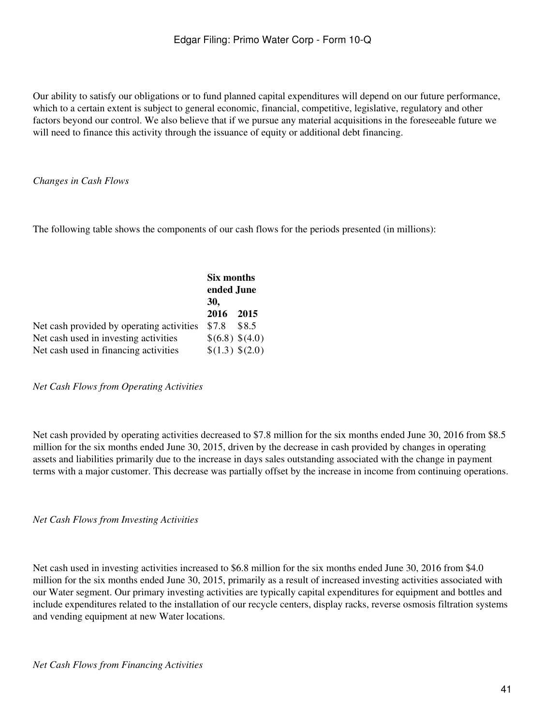Our ability to satisfy our obligations or to fund planned capital expenditures will depend on our future performance, which to a certain extent is subject to general economic, financial, competitive, legislative, regulatory and other factors beyond our control. We also believe that if we pursue any material acquisitions in the foreseeable future we will need to finance this activity through the issuance of equity or additional debt financing.

### *Changes in Cash Flows*

The following table shows the components of our cash flows for the periods presented (in millions):

|                                           | Six months<br>ended June |       |
|-------------------------------------------|--------------------------|-------|
|                                           | <b>30,</b>               |       |
|                                           | 2016                     | 2015  |
| Net cash provided by operating activities | \$7.8                    | \$8.5 |
| Net cash used in investing activities     | \$(6.8) \$(4.0)          |       |
| Net cash used in financing activities     | $(1.3)$ \$(2.0)          |       |

*Net Cash Flows from Operating Activities*

Net cash provided by operating activities decreased to \$7.8 million for the six months ended June 30, 2016 from \$8.5 million for the six months ended June 30, 2015, driven by the decrease in cash provided by changes in operating assets and liabilities primarily due to the increase in days sales outstanding associated with the change in payment terms with a major customer. This decrease was partially offset by the increase in income from continuing operations.

*Net Cash Flows from Investing Activities* 

Net cash used in investing activities increased to \$6.8 million for the six months ended June 30, 2016 from \$4.0 million for the six months ended June 30, 2015, primarily as a result of increased investing activities associated with our Water segment. Our primary investing activities are typically capital expenditures for equipment and bottles and include expenditures related to the installation of our recycle centers, display racks, reverse osmosis filtration systems and vending equipment at new Water locations.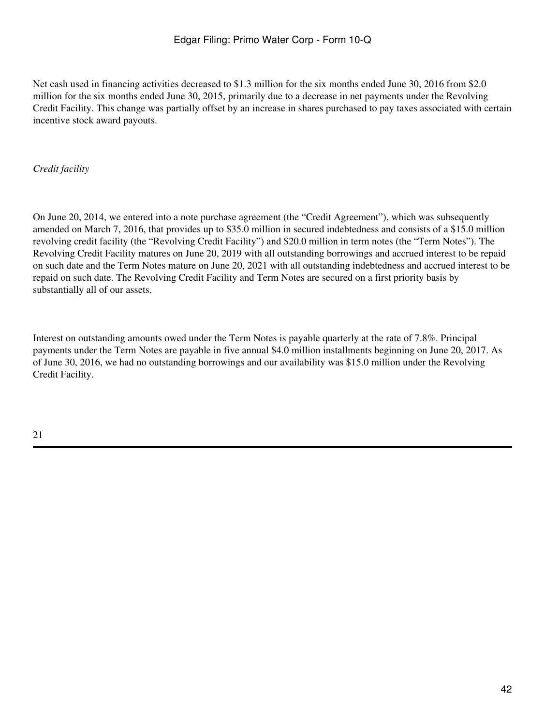Net cash used in financing activities decreased to \$1.3 million for the six months ended June 30, 2016 from \$2.0 million for the six months ended June 30, 2015, primarily due to a decrease in net payments under the Revolving Credit Facility. This change was partially offset by an increase in shares purchased to pay taxes associated with certain incentive stock award payouts.

# *Credit facility*

On June 20, 2014, we entered into a note purchase agreement (the "Credit Agreement"), which was subsequently amended on March 7, 2016, that provides up to \$35.0 million in secured indebtedness and consists of a \$15.0 million revolving credit facility (the "Revolving Credit Facility") and \$20.0 million in term notes (the "Term Notes"). The Revolving Credit Facility matures on June 20, 2019 with all outstanding borrowings and accrued interest to be repaid on such date and the Term Notes mature on June 20, 2021 with all outstanding indebtedness and accrued interest to be repaid on such date. The Revolving Credit Facility and Term Notes are secured on a first priority basis by substantially all of our assets.

Interest on outstanding amounts owed under the Term Notes is payable quarterly at the rate of 7.8%. Principal payments under the Term Notes are payable in five annual \$4.0 million installments beginning on June 20, 2017. As of June 30, 2016, we had no outstanding borrowings and our availability was \$15.0 million under the Revolving Credit Facility.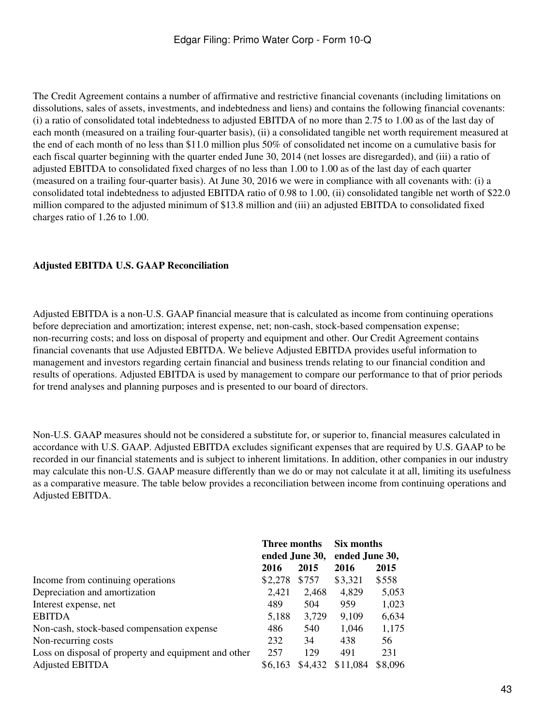The Credit Agreement contains a number of affirmative and restrictive financial covenants (including limitations on dissolutions, sales of assets, investments, and indebtedness and liens) and contains the following financial covenants: (i) a ratio of consolidated total indebtedness to adjusted EBITDA of no more than 2.75 to 1.00 as of the last day of each month (measured on a trailing four-quarter basis), (ii) a consolidated tangible net worth requirement measured at the end of each month of no less than \$11.0 million plus 50% of consolidated net income on a cumulative basis for each fiscal quarter beginning with the quarter ended June 30, 2014 (net losses are disregarded), and (iii) a ratio of adjusted EBITDA to consolidated fixed charges of no less than 1.00 to 1.00 as of the last day of each quarter (measured on a trailing four-quarter basis). At June 30, 2016 we were in compliance with all covenants with: (i) a consolidated total indebtedness to adjusted EBITDA ratio of 0.98 to 1.00, (ii) consolidated tangible net worth of \$22.0 million compared to the adjusted minimum of \$13.8 million and (iii) an adjusted EBITDA to consolidated fixed charges ratio of 1.26 to 1.00.

### **Adjusted EBITDA U.S. GAAP Reconciliation**

Adjusted EBITDA is a non-U.S. GAAP financial measure that is calculated as income from continuing operations before depreciation and amortization; interest expense, net; non-cash, stock-based compensation expense; non-recurring costs; and loss on disposal of property and equipment and other. Our Credit Agreement contains financial covenants that use Adjusted EBITDA. We believe Adjusted EBITDA provides useful information to management and investors regarding certain financial and business trends relating to our financial condition and results of operations. Adjusted EBITDA is used by management to compare our performance to that of prior periods for trend analyses and planning purposes and is presented to our board of directors.

Non-U.S. GAAP measures should not be considered a substitute for, or superior to, financial measures calculated in accordance with U.S. GAAP. Adjusted EBITDA excludes significant expenses that are required by U.S. GAAP to be recorded in our financial statements and is subject to inherent limitations. In addition, other companies in our industry may calculate this non-U.S. GAAP measure differently than we do or may not calculate it at all, limiting its usefulness as a comparative measure. The table below provides a reconciliation between income from continuing operations and Adjusted EBITDA.

|                                                      | Three months<br>ended June 30, |         | Six months     |         |
|------------------------------------------------------|--------------------------------|---------|----------------|---------|
|                                                      |                                |         | ended June 30, |         |
|                                                      | 2016                           | 2015    | 2016           | 2015    |
| Income from continuing operations                    | \$2,278                        | \$757   | \$3,321        | \$558   |
| Depreciation and amortization                        | 2,421                          | 2.468   | 4,829          | 5,053   |
| Interest expense, net                                | 489                            | 504     | 959            | 1,023   |
| <b>EBITDA</b>                                        | 5,188                          | 3,729   | 9,109          | 6,634   |
| Non-cash, stock-based compensation expense           | 486                            | 540     | 1,046          | 1,175   |
| Non-recurring costs                                  | 232                            | 34      | 438            | 56      |
| Loss on disposal of property and equipment and other | 257                            | 129     | 491            | 231     |
| <b>Adjusted EBITDA</b>                               | \$6,163                        | \$4,432 | \$11,084       | \$8,096 |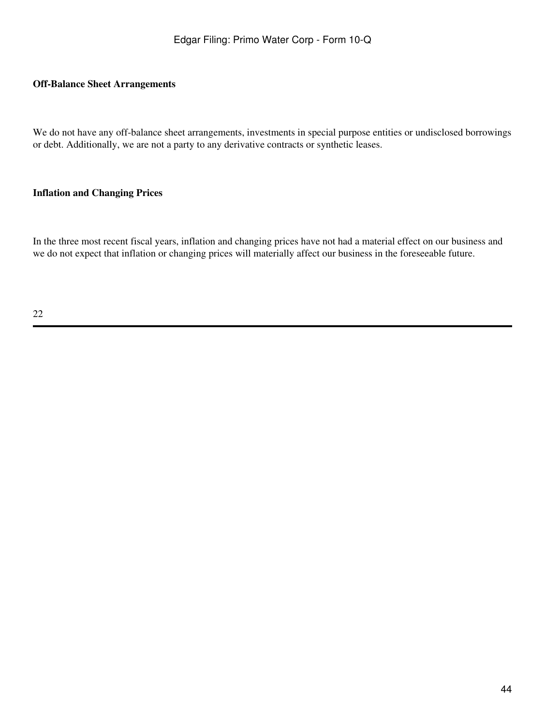### **Off-Balance Sheet Arrangements**

We do not have any off-balance sheet arrangements, investments in special purpose entities or undisclosed borrowings or debt. Additionally, we are not a party to any derivative contracts or synthetic leases.

### **Inflation and Changing Prices**

In the three most recent fiscal years, inflation and changing prices have not had a material effect on our business and we do not expect that inflation or changing prices will materially affect our business in the foreseeable future.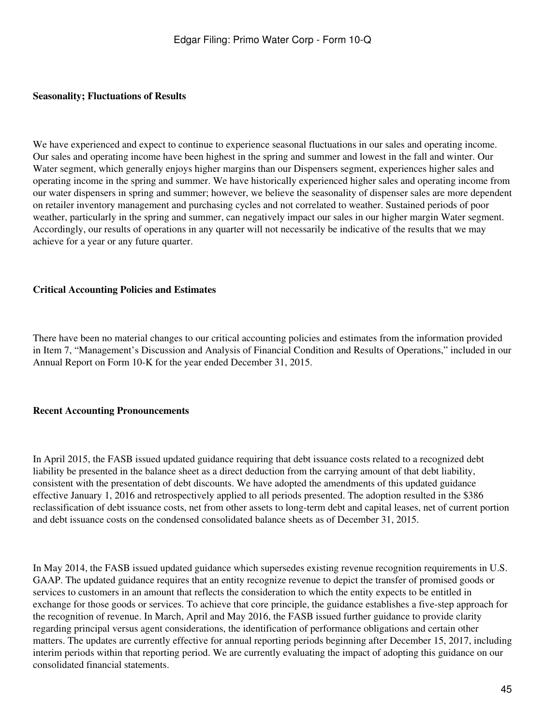#### **Seasonality; Fluctuations of Results**

We have experienced and expect to continue to experience seasonal fluctuations in our sales and operating income. Our sales and operating income have been highest in the spring and summer and lowest in the fall and winter. Our Water segment, which generally enjoys higher margins than our Dispensers segment, experiences higher sales and operating income in the spring and summer. We have historically experienced higher sales and operating income from our water dispensers in spring and summer; however, we believe the seasonality of dispenser sales are more dependent on retailer inventory management and purchasing cycles and not correlated to weather. Sustained periods of poor weather, particularly in the spring and summer, can negatively impact our sales in our higher margin Water segment. Accordingly, our results of operations in any quarter will not necessarily be indicative of the results that we may achieve for a year or any future quarter.

#### **Critical Accounting Policies and Estimates**

There have been no material changes to our critical accounting policies and estimates from the information provided in Item 7, "Management's Discussion and Analysis of Financial Condition and Results of Operations," included in our Annual Report on Form 10-K for the year ended December 31, 2015.

#### **Recent Accounting Pronouncements**

In April 2015, the FASB issued updated guidance requiring that debt issuance costs related to a recognized debt liability be presented in the balance sheet as a direct deduction from the carrying amount of that debt liability, consistent with the presentation of debt discounts. We have adopted the amendments of this updated guidance effective January 1, 2016 and retrospectively applied to all periods presented. The adoption resulted in the \$386 reclassification of debt issuance costs, net from other assets to long-term debt and capital leases, net of current portion and debt issuance costs on the condensed consolidated balance sheets as of December 31, 2015.

In May 2014, the FASB issued updated guidance which supersedes existing revenue recognition requirements in U.S. GAAP. The updated guidance requires that an entity recognize revenue to depict the transfer of promised goods or services to customers in an amount that reflects the consideration to which the entity expects to be entitled in exchange for those goods or services. To achieve that core principle, the guidance establishes a five-step approach for the recognition of revenue. In March, April and May 2016, the FASB issued further guidance to provide clarity regarding principal versus agent considerations, the identification of performance obligations and certain other matters. The updates are currently effective for annual reporting periods beginning after December 15, 2017, including interim periods within that reporting period. We are currently evaluating the impact of adopting this guidance on our consolidated financial statements.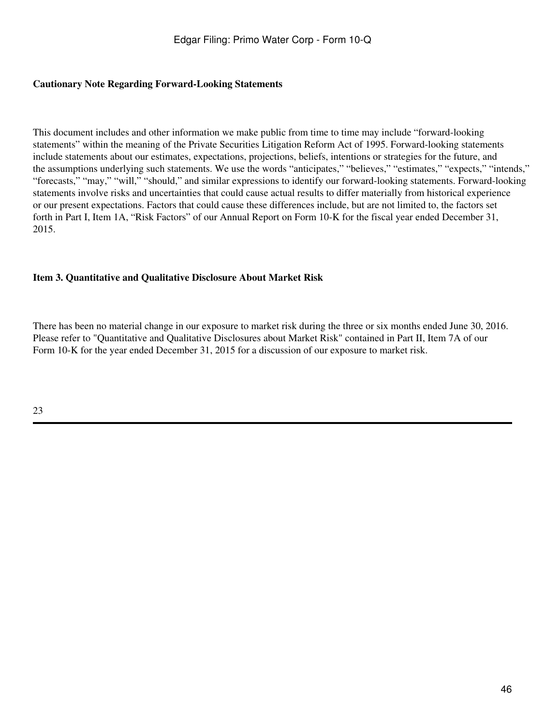### **Cautionary Note Regarding Forward-Looking Statements**

This document includes and other information we make public from time to time may include "forward-looking statements" within the meaning of the Private Securities Litigation Reform Act of 1995. Forward-looking statements include statements about our estimates, expectations, projections, beliefs, intentions or strategies for the future, and the assumptions underlying such statements. We use the words "anticipates," "believes," "estimates," "expects," "intends," "forecasts," "may," "will," "should," and similar expressions to identify our forward-looking statements. Forward-looking statements involve risks and uncertainties that could cause actual results to differ materially from historical experience or our present expectations. Factors that could cause these differences include, but are not limited to, the factors set forth in Part I, Item 1A, "Risk Factors" of our Annual Report on Form 10-K for the fiscal year ended December 31, 2015.

# **Item 3. Quantitative and Qualitative Disclosure About Market Risk**

There has been no material change in our exposure to market risk during the three or six months ended June 30, 2016. Please refer to "Quantitative and Qualitative Disclosures about Market Risk" contained in Part II, Item 7A of our Form 10-K for the year ended December 31, 2015 for a discussion of our exposure to market risk.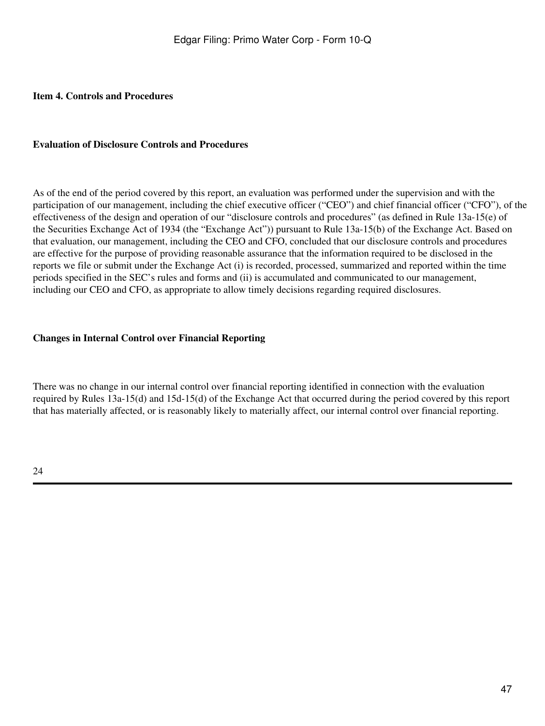### **Item 4. Controls and Procedures**

### **Evaluation of Disclosure Controls and Procedures**

As of the end of the period covered by this report, an evaluation was performed under the supervision and with the participation of our management, including the chief executive officer ("CEO") and chief financial officer ("CFO"), of the effectiveness of the design and operation of our "disclosure controls and procedures" (as defined in Rule 13a-15(e) of the Securities Exchange Act of 1934 (the "Exchange Act")) pursuant to Rule 13a-15(b) of the Exchange Act. Based on that evaluation, our management, including the CEO and CFO, concluded that our disclosure controls and procedures are effective for the purpose of providing reasonable assurance that the information required to be disclosed in the reports we file or submit under the Exchange Act (i) is recorded, processed, summarized and reported within the time periods specified in the SEC's rules and forms and (ii) is accumulated and communicated to our management, including our CEO and CFO, as appropriate to allow timely decisions regarding required disclosures.

### **Changes in Internal Control over Financial Reporting**

There was no change in our internal control over financial reporting identified in connection with the evaluation required by Rules 13a-15(d) and 15d-15(d) of the Exchange Act that occurred during the period covered by this report that has materially affected, or is reasonably likely to materially affect, our internal control over financial reporting.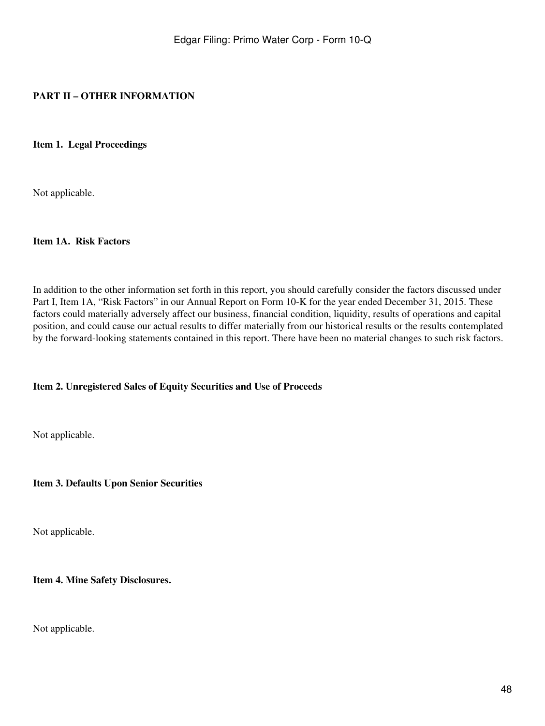# **PART II – OTHER INFORMATION**

**Item 1. Legal Proceedings**

Not applicable.

#### **Item 1A. Risk Factors**

In addition to the other information set forth in this report, you should carefully consider the factors discussed under Part I, Item 1A, "Risk Factors" in our Annual Report on Form 10-K for the year ended December 31, 2015. These factors could materially adversely affect our business, financial condition, liquidity, results of operations and capital position, and could cause our actual results to differ materially from our historical results or the results contemplated by the forward-looking statements contained in this report. There have been no material changes to such risk factors.

### **Item 2. Unregistered Sales of Equity Securities and Use of Proceeds**

Not applicable.

### **Item 3. Defaults Upon Senior Securities**

Not applicable.

**Item 4. Mine Safety Disclosures.**

Not applicable.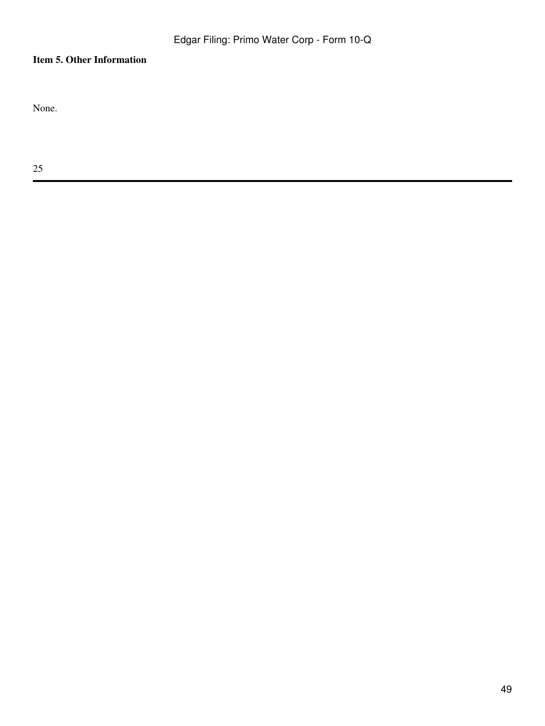# **Item 5. Other Information**

None.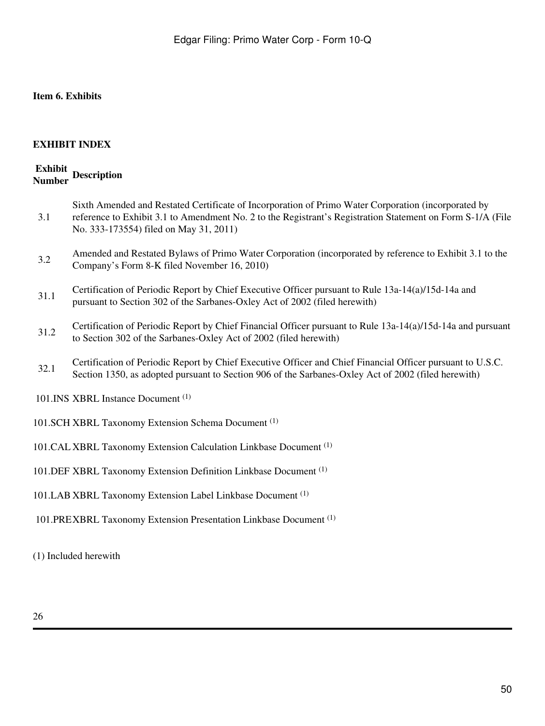# **Item 6. Exhibits**

# **EXHIBIT INDEX**

# **Exhibit Number Description**

| 3.1                                                                          | Sixth Amended and Restated Certificate of Incorporation of Primo Water Corporation (incorporated by<br>reference to Exhibit 3.1 to Amendment No. 2 to the Registrant's Registration Statement on Form S-1/A (File |
|------------------------------------------------------------------------------|-------------------------------------------------------------------------------------------------------------------------------------------------------------------------------------------------------------------|
|                                                                              | No. 333-173554) filed on May 31, 2011)                                                                                                                                                                            |
| 3.2                                                                          | Amended and Restated Bylaws of Primo Water Corporation (incorporated by reference to Exhibit 3.1 to the<br>Company's Form 8-K filed November 16, 2010)                                                            |
| 31.1                                                                         | Certification of Periodic Report by Chief Executive Officer pursuant to Rule 13a-14(a)/15d-14a and<br>pursuant to Section 302 of the Sarbanes-Oxley Act of 2002 (filed herewith)                                  |
| 31.2                                                                         | Certification of Periodic Report by Chief Financial Officer pursuant to Rule $13a-14(a)/15d-14a$ and pursuant<br>to Section 302 of the Sarbanes-Oxley Act of 2002 (filed herewith)                                |
| 32.1                                                                         | Certification of Periodic Report by Chief Executive Officer and Chief Financial Officer pursuant to U.S.C.<br>Section 1350, as adopted pursuant to Section 906 of the Sarbanes-Oxley Act of 2002 (filed herewith) |
| 101. INS XBRL Instance Document <sup>(1)</sup>                               |                                                                                                                                                                                                                   |
| 101.SCH XBRL Taxonomy Extension Schema Document <sup>(1)</sup>               |                                                                                                                                                                                                                   |
| 101. CAL XBRL Taxonomy Extension Calculation Linkbase Document (1)           |                                                                                                                                                                                                                   |
| 101. DEF XBRL Taxonomy Extension Definition Linkbase Document <sup>(1)</sup> |                                                                                                                                                                                                                   |
| 101.LAB XBRL Taxonomy Extension Label Linkbase Document <sup>(1)</sup>       |                                                                                                                                                                                                                   |
| 101.PREXBRL Taxonomy Extension Presentation Linkbase Document <sup>(1)</sup> |                                                                                                                                                                                                                   |
|                                                                              |                                                                                                                                                                                                                   |

(1) Included herewith